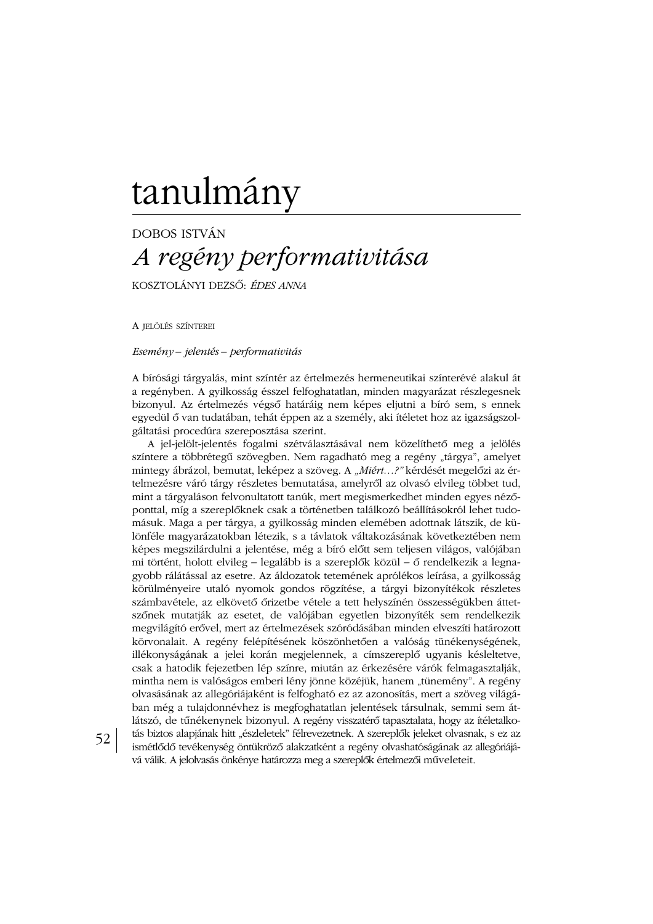# tanulmány

# **DOBOS ISTVÁN** A regény performativitása

KOSZTOLÁNYI DEZSŐ: ÉDES ANNA

A JELÖLÉS SZÍNTEREI

52

Esemény – jelentés – performativitás

A bírósági tárgyalás, mint színtér az értelmezés hermeneutikai színterévé alakul át a regényben. A gyilkosság ésszel felfoghatatlan, minden magyarázat részlegesnek bizonyul. Az értelmezés végső határáig nem képes eljutni a bíró sem, s ennek egyedül ő van tudatában, tehát éppen az a személy, aki ítéletet hoz az igazságszolgáltatási procedúra szereposztása szerint.

A jel-jelölt-jelentés fogalmi szétválasztásával nem közelíthető meg a jelölés színtere a többrétegű szövegben. Nem ragadható meg a regény "tárgya", amelyet mintegy ábrázol, bemutat, leképez a szöveg. A "Miért...?" kérdését megelőzi az értelmezésre váró tárgy részletes bemutatása, amelyről az olvasó elvileg többet tud, mint a tárgyaláson felvonultatott tanúk, mert megismerkedhet minden egyes nézőponttal, míg a szereplőknek csak a történetben találkozó beállításokról lehet tudomásuk. Maga a per tárgya, a gyilkosság minden elemében adottnak látszik, de különféle magyarázatokban létezik, s a távlatok váltakozásának következtében nem képes megszilárdulni a jelentése, még a bíró előtt sem teljesen világos, valójában mi történt, holott elvileg – legalább is a szereplők közül – ő rendelkezik a legnagyobb rálátással az esetre. Az áldozatok tetemének aprólékos leírása, a gyilkosság körülményeire utaló nyomok gondos rögzítése, a tárgyi bizonyítékok részletes számbavétele, az elkövető őrizetbe vétele a tett helyszínén összességükben áttetszőnek mutatják az esetet, de valójában egyetlen bizonyíték sem rendelkezik megvilágító erővel, mert az értelmezések szóródásában minden elveszíti határozott körvonalait. A regény felépítésének köszönhetően a valóság tünékenységének, illékonyságának a jelei korán megjelennek, a címszereplő ugyanis késleltetve, csak a hatodik fejezetben lép színre, miután az érkezésére várók felmagasztalják, mintha nem is valóságos emberi lény jönne közéjük, hanem "tünemény". A regény olvasásának az allegóriájaként is felfogható ez az azonosítás, mert a szöveg világában még a tulajdonnévhez is megfoghatatlan jelentések társulnak, semmi sem átlátszó, de tűnékenynek bizonyul. A regény visszatérő tapasztalata, hogy az ítéletalkotás biztos alapjának hitt "észleletek" félrevezetnek. A szereplők jeleket olvasnak, s ez az ismétlődő tevékenység öntükröző alakzatként a regény olvashatóságának az allegóriájává válik. A jelolvasás önkénye határozza meg a szereplők értelmezői műveleteit.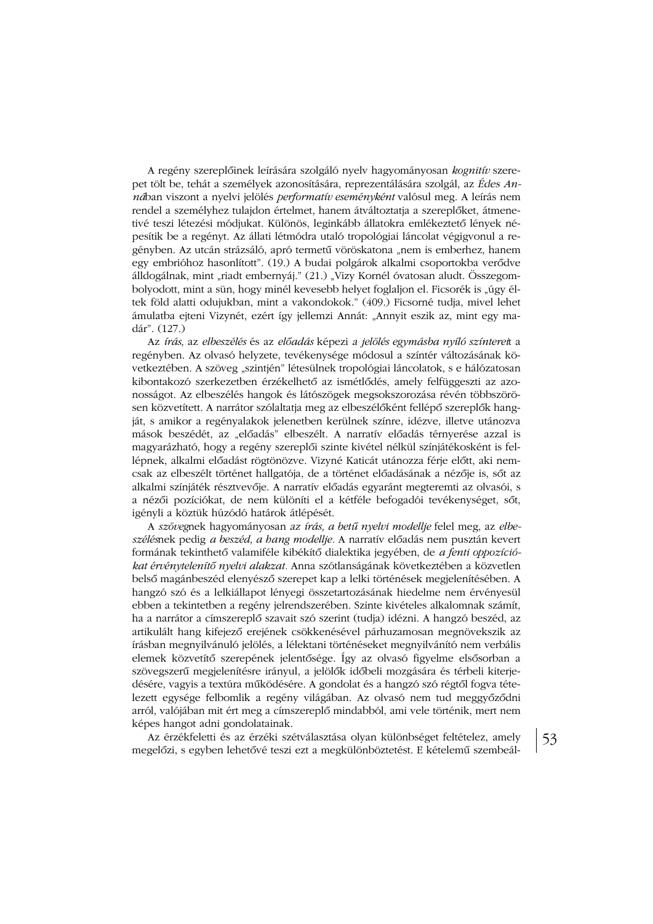A regény szereplőinek leírására szolgáló nyelv hagyományosan kognitív szerepet tölt be, tehát a személyek azonosítására, reprezentálására szolgál, az Édes An*ná*ban viszont a nyelvi jelölés *performatív eseményként* valósul meg. A leírás nem rendel a személyhez tulajdon értelmet, hanem átváltoztatja a szereplőket, átmenetivé teszi létezési módjukat. Különös, leginkább állatokra emlékeztető lények népesítik be a regényt. Az állati létmódra utaló tropológiai láncolat végigyonul a regényben. Az utcán strázsáló, apró termetű vöröskatona "nem is emberhez, hanem egy embrióhoz hasonlított". (19.) A budai polgárok alkalmi csoportokba verődve álldogálnak, mint "riadt embernyáj." (21.) "Vizy Kornél óvatosan aludt. Összegombolyodott, mint a sün, hogy minél kevesebb helyet foglaljon el. Ficsorék is "úgy éltek föld alatti odujukban, mint a vakondokok." (409.) Ficsorné tudja, mivel lehet ámulatba ejteni Vizynét, ezért így jellemzi Annát: "Annyit eszik az, mint egy madár". (127.)

Az írás, az elbeszélés és az előadás képezi a jelölés egymásba nyíló színtereit a regényben. Az olvasó helyzete, tevékenysége módosul a színtér változásának következtében. A szöveg "szintjén" létesülnek tropológiai láncolatok, s e hálózatosan kibontakozó szerkezetben érzékelhető az ismétlődés, amely felfüggeszti az azonosságot. Az elbeszélés hangok és látószögek megsokszorozása révén többszörösen közvetített. A narrátor szólaltatja meg az elbeszélőként fellépő szereplők hangját, s amikor a regényalakok jelenetben kerülnek színre, idézve, illetve utánozva mások beszédét, az "előadás" elbeszélt. A narratív előadás térnyerése azzal is magyarázható, hogy a regény szereplői szinte kivétel nélkül színjátékosként is fellépnek, alkalmi előadást rögtönözve. Vizyné Katicát utánozza férje előtt, aki nemcsak az elbeszélt történet hallgatója, de a történet előadásának a nézője is, sőt az alkalmi színjáték résztvevője. A narratív előadás egyaránt megteremti az olvasói, s a nézői pozíciókat, de nem különíti el a kétféle befogadói tevékenységet, sőt, igényli a köztük húzódó határok átlépését.

A szövegnek hagyományosan az írás, a betű nyelvi modellje felel meg, az elbeszélésnek pedig a beszéd, a hang modellje. A narratív előadás nem pusztán kevert formának tekinthető valamiféle kibékítő dialektika jegyében, de *a fenti oppozíció*kat érvénytelenítő nyelvi alakzat. Anna szótlanságának következtében a közvetlen belső magánbeszéd elenyésző szerepet kap a lelki történések megjelenítésében. A hangzó szó és a lelkiállapot lényegi összetartozásának hiedelme nem érvényesül ebben a tekintetben a regény jelrendszerében. Szinte kivételes alkalomnak számít, ha a narrátor a címszereplő szavait szó szerint (tudja) idézni. A hangzó beszéd, az artikulált hang kifejező erejének csökkenésével párhuzamosan megnövekszik az írásban megnyilvánuló jelölés, a lélektani történéseket megnyilvánító nem verbális elemek közvetítő szerepének jelentősége. Így az olvasó figyelme elsősorban a szövegszerű megjelenítésre irányul, a jelölők időbeli mozgására és térbeli kiterjedésére, vagyis a textúra működésére. A gondolat és a hangzó szó régtől fogya tételezett egysége felbomlik a regény világában. Az olvasó nem tud meggyőződni arról, valójában mit ért meg a címszereplő mindabból, ami vele történik, mert nem képes hangot adni gondolatainak.

Az érzékfeletti és az érzéki szétválasztása olyan különbséget feltételez, amely megelőzi, s egyben lehetővé teszi ezt a megkülönböztetést. E kételemű szembeál-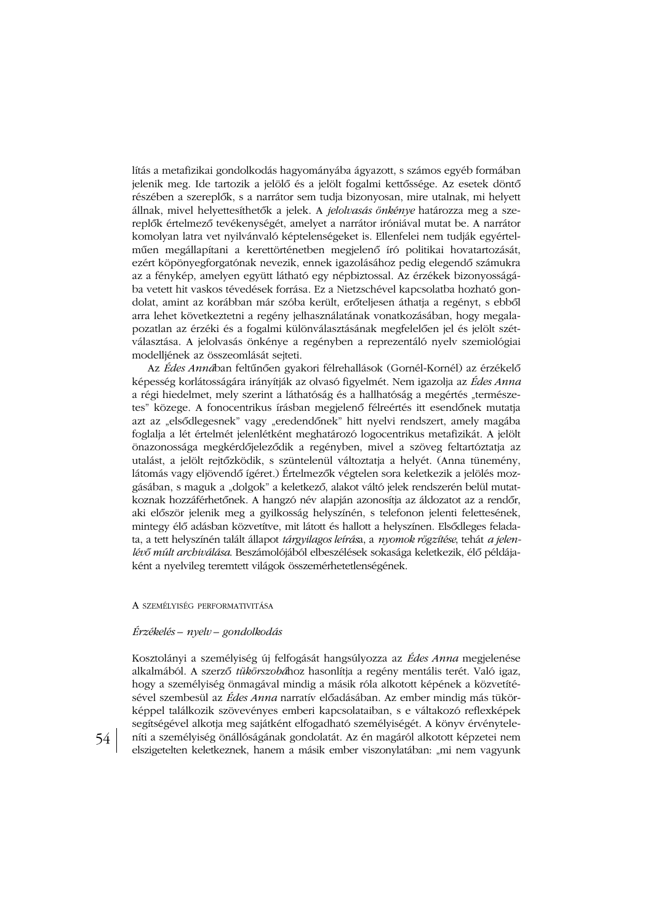lítás a metafizikai gondolkodás hagyományába ágyazott, s számos egyéb formában jelenik meg. Ide tartozik a jelölő és a jelölt fogalmi kettőssége. Az esetek döntő részében a szereplők, s a narrátor sem tudja bizonyosan, mire utalnak, mi helyett állnak, mivel helyettesíthetők a jelek. A jelolvasás önkénye határozza meg a szereplők értelmező tevékenységét, amelyet a narrátor iróniával mutat be. A narrátor komolyan latra vet nyilványaló képtelenségeket is. Ellenfelei nem tudják egyértelműen megállapítani a kerettörténetben megjelenő író politikai hovatartozását, ezért köpönyegforgatónak nevezik, ennek igazolásához pedig elegendő számukra az a fénykép, amelyen együtt látható egy népbiztossal. Az érzékek bizonyosságába vetett hit vaskos tévedések forrása. Ez a Nietzschével kapcsolatba hozható gondolat, amint az korábban már szóba került, erőteljesen áthatja a regényt, s ebből arra lehet következtetni a regény jelhasználatának vonatkozásában, hogy megalapozatlan az érzéki és a fogalmi különválasztásának megfelelően jel és jelölt szétválasztása. A jelolvasás önkénye a regényben a reprezentáló nyelv szemiológiai modelljének az összeomlását sejteti.

Az Édes Annában feltűnően gyakori félrehallások (Gornél-Kornél) az érzékelő képesség korlátosságára irányítják az olvasó figyelmét. Nem igazolja az *Édes Anna* a régi hiedelmet, mely szerint a láthatóság és a hallhatóság a megértés "természetes" közege. A fonocentrikus írásban megjelenő félreértés itt esendőnek mutatja azt az "elsődlegesnek" vagy "eredendőnek" hitt nyelvi rendszert, amely magába foglalja a lét értelmét jelenlétként meghatározó logocentrikus metafizikát. A jelölt önazonossága megkérdőjeleződik a regényben, mivel a szöveg feltartóztatja az utalást, a jelölt rejtőzködik, s szüntelenül változtatja a helyét. (Anna tünemény, látomás vagy eljövendő ígéret.) Értelmezők végtelen sora keletkezik a jelölés mozgásában, s maguk a "dolgok" a keletkező, alakot váltó jelek rendszerén belül mutatkoznak hozzáférhetőnek. A hangzó név alapján azonosítja az áldozatot az a rendőr, aki először jelenik meg a gyilkosság helyszínén, s telefonon jelenti felettesének, mintegy élő adásban közvetítve, mit látott és hallott a helyszínen. Elsődleges feladata, a tett helyszínén talált állapot tárgyilagos leírása, a nyomok rögzítése, tehát a jelenlévő múlt archiválása. Beszámolójából elbeszélések sokasága keletkezik, élő példájaként a nyelvileg teremtett világok összemérhetetlenségének.

# A SZEMÉLYISÉG PERFORMATIVITÁSA

#### Érzékelés – nyelv – gondolkodás

Kosztolányi a személyiség új felfogását hangsúlyozza az Édes Anna megjelenése alkalmából. A szerző tükörszobához hasonlítja a regény mentális terét. Való igaz, hogy a személyiség önmagával mindig a másik róla alkotott képének a közvetítésével szembesül az Édes Anna narratív előadásában. Az ember mindig más tükörképpel találkozik szövevényes emberi kapcsolataiban, s e váltakozó reflexképek segítségével alkotja meg sajátként elfogadható személyiségét. A könyv érvényteleníti a személyiség önállóságának gondolatát. Az én magáról alkotott képzetei nem elszigetelten keletkeznek, hanem a másik ember viszonylatában: "mi nem vagyunk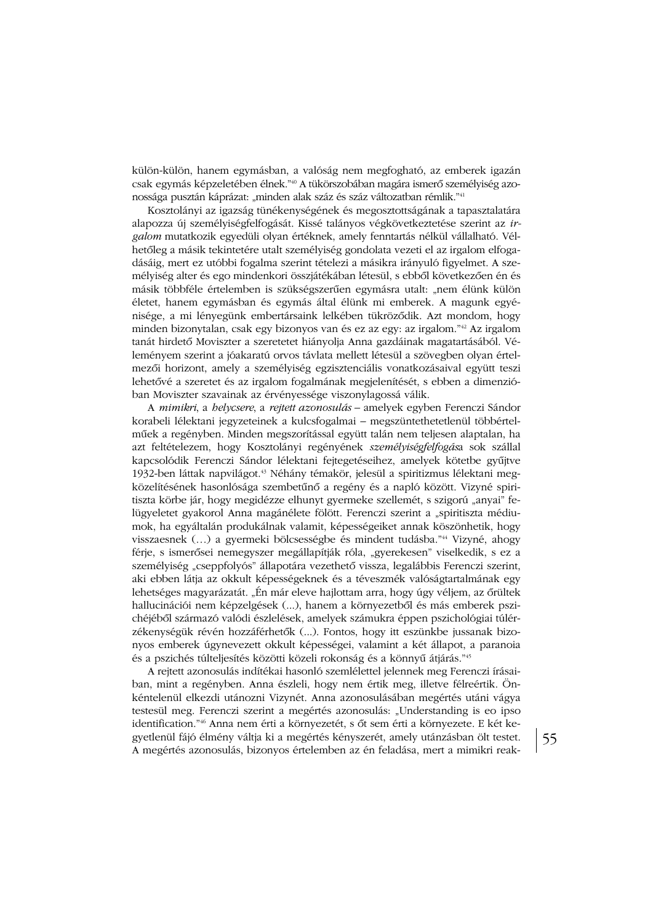külön-külön, hanem egymásban, a valóság nem megfogható, az emberek igazán csak egymás képzeletében élnek."<sup>40</sup> A tükörszobában magára ismerő személyiség azonossága pusztán káprázat: "minden alak száz és száz változatban rémlik."<sup>41</sup>

Kosztolányi az igazság tünékenységének és megosztottságának a tapasztalatára alapozza új személyiségfelfogását. Kissé talányos végkövetkeztetése szerint az irgalom mutatkozik egyedüli olyan értéknek, amely fenntartás nélkül vállalható. Vélhetőleg a másik tekintetére utalt személyiség gondolata vezeti el az irgalom elfogadásáig, mert ez utóbbi fogalma szerint tételezi a másikra irányuló figyelmet. A személyiség alter és ego mindenkori összjátékában létesül, s ebből következően én és másik többféle értelemben is szükségszerűen egymásra utalt: "nem élünk külön életet, hanem egymásban és egymás által élünk mi emberek. A magunk egyénisége, a mi lényegünk embertársaink lelkében tükröződik. Azt mondom, hogy minden bizonytalan, csak egy bizonyos van és ez az egy: az irgalom."<sup>42</sup> Az irgalom tanát hirdető Moviszter a szeretetet hiányolja Anna gazdáinak magatartásából. Véleményem szerint a jóakaratú orvos távlata mellett létesül a szövegben olyan értelmezői horizont, amely a személyiség egzisztenciális vonatkozásaival együtt teszi lehetővé a szeretet és az irgalom fogalmának megjelenítését, s ebben a dimenzióban Moviszter szavainak az érvényessége viszonylagossá válik.

A mimikri, a helycsere, a rejtett azonosulás – amelyek egyben Ferenczi Sándor korabeli lélektani jegyzeteinek a kulcsfogalmai - megszüntethetetlenül többértelműek a regényben. Minden megszorítással együtt talán nem teljesen alaptalan, ha azt feltételezem, hogy Kosztolányi regényének személyiségfelfogása sok szállal kapcsolódik Ferenczi Sándor lélektani fejtegetéseihez, amelyek kötetbe gyűjtve 1932-ben láttak napvilágot.<sup>43</sup> Néhány témakör, jelesül a spiritizmus lélektani megközelítésének hasonlósága szembetűnő a regény és a napló között. Vizyné spiritiszta körbe jár, hogy megidézze elhunyt gyermeke szellemét, s szigorú "anyai" felügyeletet gyakorol Anna magánélete fölött. Ferenczi szerint a "spiritiszta médiumok, ha egyáltalán produkálnak valamit, képességeiket annak köszönhetik, hogy visszaesnek (...) a gyermeki bölcsességbe és mindent tudásba."<sup>44</sup> Vizyné, ahogy férje, s ismerősei nemegyszer megállapítják róla, "gyerekesen" viselkedik, s ez a személyiség "cseppfolyós" állapotára vezethető vissza, legalábbis Ferenczi szerint, aki ebben látja az okkult képességeknek és a téveszmék valóságtartalmának egy lehetséges magyarázatát. "Én már eleve hajlottam arra, hogy úgy véljem, az őrültek hallucinációi nem képzelgések (...), hanem a környezetből és más emberek pszichéjéből származó valódi észlelések, amelyek számukra éppen pszichológiai túlérzékenységük révén hozzáférhetők (...). Fontos, hogy itt eszünkbe jussanak bizonyos emberek úgynevezett okkult képességei, valamint a két állapot, a paranoia és a pszichés túlteljesítés közötti közeli rokonság és a könnyű átjárás."45

A rejtett azonosulás indítékai hasonló szemlélettel jelennek meg Ferenczi írásaiban, mint a regényben. Anna észleli, hogy nem értik meg, illetve félreértik. Önkéntelenül elkezdi utánozni Vizynét. Anna azonosulásában megértés utáni vágya testesül meg. Ferenczi szerint a megértés azonosulás: "Understanding is eo ipso identification."<sup>46</sup> Anna nem érti a környezetét, s őt sem érti a környezete. E két kegyetlenül fájó élmény váltja ki a megértés kényszerét, amely utánzásban ölt testet. A megértés azonosulás, bizonyos értelemben az én feladása, mert a mimikri reak-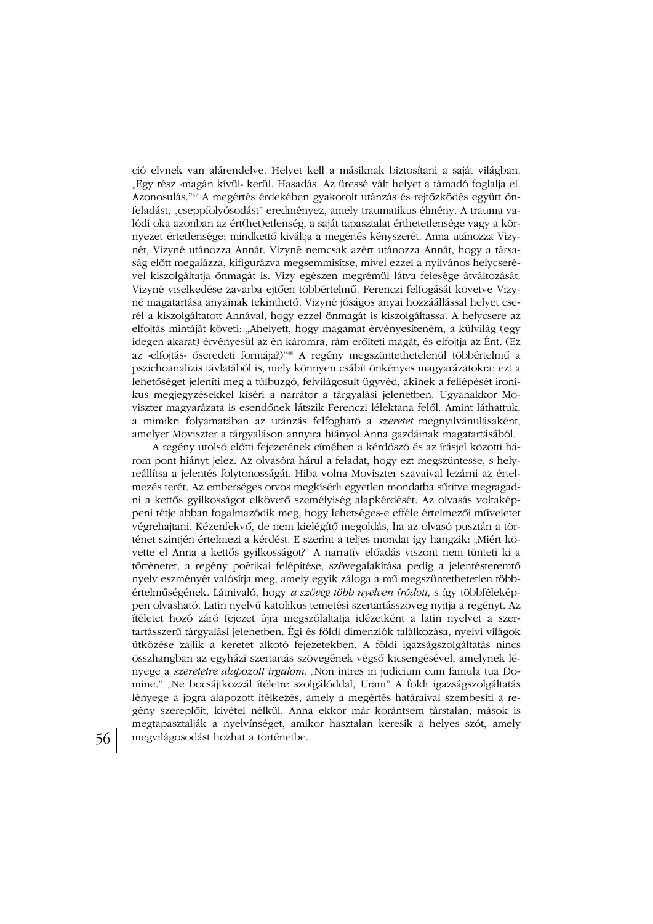ció elvnek van alárendelve. Helyet kell a másiknak biztosítani a saját világban. "Egy rész »magán kívül« kerül. Hasadás. Az üressé vált helyet a támadó foglalja el. Azonosulás."47 A megértés érdekében gyakorolt utánzás és rejtőzködés együtt önfeladást, "cseppfolyósodást" eredményez, amely traumatikus élmény. A trauma valódi oka azonban az ért(het)etlenség, a saját tapasztalat érthetetlensége vagy a környezet értetlensége; mindkettő kiváltja a megértés kényszerét. Anna utánozza Vizynét, Vizyné utánozza Annát. Vizyné nemcsak azért utánozza Annát, hogy a társaság előtt megalázza, kifigurázva megsemmisítse, mivel ezzel a nyilvános helycserével kiszolgáltatja önmagát is. Vizy egészen megrémül látva felesége átváltozását. Vizyné viselkedése zavarba ejtően többértelmű. Ferenczi felfogását követve Vizyné magatartása anyainak tekinthető. Vizyné jóságos anyai hozzáállással helyet cserél a kiszolgáltatott Annával, hogy ezzel önmagát is kiszolgáltassa. A helycsere az elfojtás mintáját követi: "Ahelyett, hogy magamat érvényesíteném, a külvilág (egy idegen akarat) érvényesül az én káromra, rám erőlteti magát, és elfojtja az Ént. (Ez az »elfojtás« őseredeti formája?)"<sup>48</sup> A regény megszüntethetelenül többértelmű a pszichoanalízis távlatából is, mely könnyen csábít önkényes magyarázatokra; ezt a lehetőséget jeleníti meg a túlbuzgó, felvilágosult ügyvéd, akinek a fellépését ironikus megjegyzésekkel kíséri a narrátor a tárgyalási jelenetben. Ugyanakkor Moviszter magyarázata is esendőnek látszik Ferenczi lélektana felől. Amint láthattuk, a mimikri folyamatában az utánzás felfogható a szeretet megnyilvánulásaként, amelyet Moviszter a tárgyaláson annyira hiányol Anna gazdáinak magatartásából.

A regény utolsó előtti fejezetének címében a kérdőszó és az írásjel közötti három pont hiányt jelez. Az olvasóra hárul a feladat, hogy ezt megszüntesse, s helyreállítsa a jelentés folytonosságát. Hiba volna Moviszter szavaival lezárni az értelmezés terét. Az emberséges orvos megkísérli egyetlen mondatba sűrítve megragadni a kettős gyilkosságot elkövető személyiség alapkérdését. Az olvasás voltaképpeni tétje abban fogalmazódik meg, hogy lehetséges-e efféle értelmezői műveletet végrehajtani. Kézenfekvő, de nem kielégítő megoldás, ha az olvasó pusztán a történet szintjén értelmezi a kérdést. E szerint a teljes mondat így hangzik: "Miért követte el Anna a kettős gyilkosságot?" A narratív előadás viszont nem tünteti ki a történetet, a regény poétikai felépítése, szövegalakítása pedig a jelentésteremtő nyelv eszményét valósítja meg, amely egyik záloga a mű megszüntethetetlen többértelműségének. Látnivaló, hogy a szöveg több nyelven íródott, s így többféleképpen olvasható. Latin nyelvű katolikus temetési szertartásszöveg nyitja a regényt. Az ítéletet hozó záró fejezet újra megszólaltatja idézetként a latin nyelvet a szertartásszerű tárgyalási jelenetben. Égi és földi dimenziók találkozása, nyelvi világok ütközése zajlik a keretet alkotó fejezetekben. A földi igazságszolgáltatás nincs összhangban az egyházi szertartás szövegének végső kicsengésével, amelynek lényege a szeretetre alapozott irgalom: "Non intres in judicium cum famula tua Domine." "Ne bocsájtkozzál ítéletre szolgálóddal, Uram" A földi igazságszolgáltatás lényege a jogra alapozott ítélkezés, amely a megértés határaival szembesíti a regény szereplőit, kivétel nélkül. Anna ekkor már korántsem társtalan, mások is megtapasztalják a nyelvínséget, amikor hasztalan keresik a helyes szót, amely megvilágosodást hozhat a történetbe.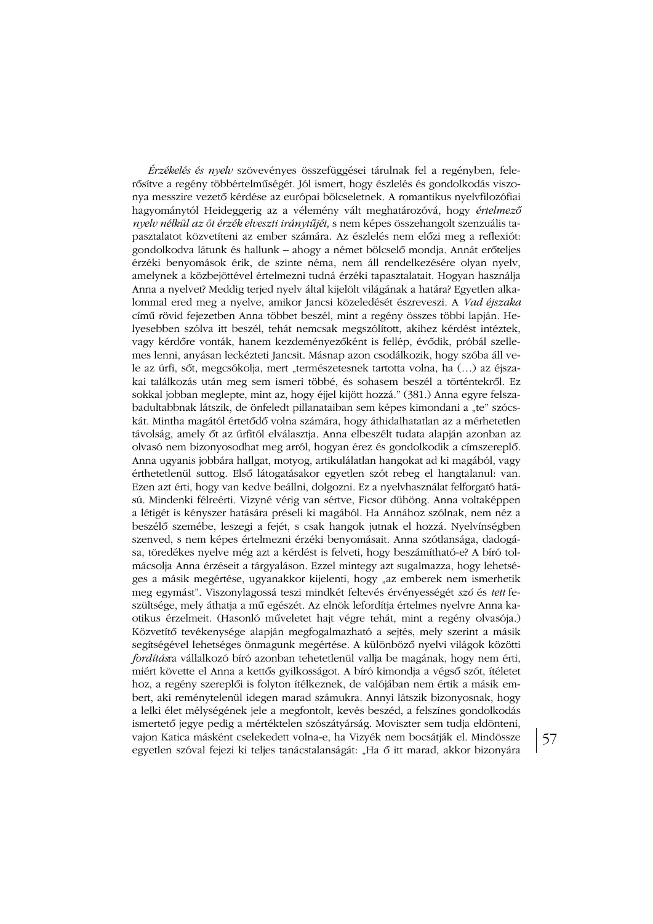Érzékelés és nyelv szövevényes összefüggései tárulnak fel a regényben, felerősítve a regény többértelműségét. Jól ismert, hogy észlelés és gondolkodás viszonya messzire vezető kérdése az európai bölcseletnek. A romantikus nyelvfilozófiai hagyománytól Heideggerig az a vélemény vált meghatározóvá, hogy értelmező nyelv nélkül az öt érzék elveszti iránytűjét, s nem képes összehangolt szenzuális tapasztalatot közvetíteni az ember számára. Az észlelés nem előzi meg a reflexiót: gondolkodva látunk és hallunk – ahogy a német bölcselő mondja. Annát erőteljes érzéki benyomások érik, de szinte néma, nem áll rendelkezésére olyan nyelv, amelynek a közbejöttével értelmezni tudná érzéki tapasztalatait. Hogyan használja Anna a nyelvet? Meddig terjed nyelv által kijelölt világának a határa? Egyetlen alkalommal ered meg a nyelve, amikor Jancsi közeledését észreveszi. A Vad éjszaka című rövid fejezetben Anna többet beszél, mint a regény összes többi lapján. Helyesebben szólva itt beszél, tehát nemcsak megszólított, akihez kérdést intéztek. vagy kérdőre vonták, hanem kezdeményezőként is fellép, évődik, próbál szellemes lenni, anyásan leckézteti Jancsit. Másnap azon csodálkozik, hogy szóba áll vele az úrfi, sőt, megcsókolja, mert "természetesnek tartotta volna, ha (...) az éjszakai találkozás után meg sem ismeri többé, és sohasem beszél a történtekről. Ez sokkal jobban meglepte, mint az, hogy éjjel kijött hozzá." (381.) Anna egyre felszabadultabbnak látszik, de önfeledt pillanataiban sem képes kimondani a "te" szócskát. Mintha magától értetődő volna számára, hogy áthidalhatatlan az a mérhetetlen távolság, amely őt az úrfitól elválasztja. Anna elbeszélt tudata alapján azonban az olvasó nem bizonyosodhat meg arról, hogyan érez és gondolkodik a címszereplő. Anna ugyanis jobbára hallgat, motyog, artikulálatlan hangokat ad ki magából, vagy érthetetlenül suttog. Első látogatásakor egyetlen szót rebeg el hangtalanul: van. Ezen azt érti, hogy van kedve beállni, dolgozni. Ez a nyelvhasználat felforgató hatású. Mindenki félreérti. Vizyné vérig van sértve, Ficsor dühöng. Anna voltaképpen a létigét is kényszer hatására préseli ki magából. Ha Annához szólnak, nem néz a beszélő szemébe, leszegi a fejét, s csak hangok jutnak el hozzá. Nyelvínségben szenved, s nem képes értelmezni érzéki benyomásait. Anna szótlansága, dadogása, töredékes nyelve még azt a kérdést is felveti, hogy beszámítható-e? A bíró tolmácsolja Anna érzéseit a tárgyaláson. Ezzel mintegy azt sugalmazza, hogy lehetséges a másik megértése, ugyanakkor kijelenti, hogy "az emberek nem ismerhetik meg egymást". Viszonylagossá teszi mindkét feltevés érvényességét szó és tett feszültsége, mely áthatja a mű egészét. Az elnök lefordítja értelmes nyelvre Anna kaotikus érzelmeit. (Hasonló műveletet hajt végre tehát, mint a regény olvasója.) Közvetítő tevékenysége alapján megfogalmazható a sejtés, mely szerint a másik segítségével lehetséges önmagunk megértése. A különböző nyelvi világok közötti fordításra vállalkozó bíró azonban tehetetlenül vallja be magának, hogy nem érti, miért követte el Anna a kettős gyilkosságot. A bíró kimondja a végső szót, ítéletet hoz, a regény szereplői is folyton ítélkeznek, de valójában nem értik a másik embert, aki reménytelenül idegen marad számukra. Annyi látszik bizonyosnak, hogy a lelki élet mélységének jele a megfontolt, kevés beszéd, a felszínes gondolkodás ismertető jegye pedig a mértéktelen szószátyárság. Moviszter sem tudja eldönteni, vajon Katica másként cselekedett volna-e, ha Vizyék nem bocsátják el. Mindössze egyetlen szóval fejezi ki teljes tanácstalanságát: "Ha ő itt marad, akkor bizonyára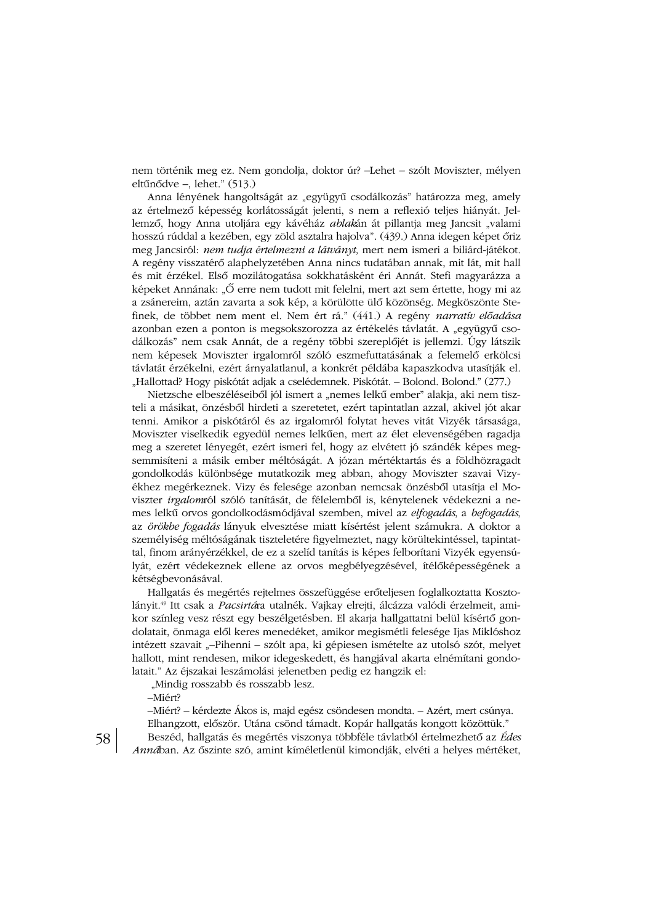nem történik meg ez. Nem gondolja, doktor úr? –Lehet – szólt Moviszter, mélyen eltűnődve -, lehet." (513.)

Anna lényének hangoltságát az "együgyű csodálkozás" határozza meg, amely az értelmező képesség korlátosságát jelenti, s nem a reflexió teljes hiányát. Jellemző, hogy Anna utoljára egy kávéház *ablak*án át pillantja meg Jancsit "valami hosszú rúddal a kezében, egy zöld asztalra hajolva". (439.) Anna idegen képet őriz meg Jancsiról: nem tudja értelmezni a látványt, mert nem ismeri a biliárd-játékot. A regény visszatérő alaphelyzetében Anna nincs tudatában annak, mit lát, mit hall és mit érzékel. Első mozilátogatása sokkhatásként éri Annát. Stefi magyarázza a képeket Annának: "Ő erre nem tudott mit felelni, mert azt sem értette, hogy mi az a zsánereim, aztán zavarta a sok kép, a körülötte ülő közönség. Megköszönte Stefinek, de többet nem ment el. Nem ért rá." (441.) A regény narratív előadása azonban ezen a ponton is megsokszorozza az értékelés távlatát. A "együgyű csodálkozás" nem csak Annát, de a regény többi szereplőjét is jellemzi. Úgy látszik nem képesek Moviszter irgalomról szóló eszmefuttatásának a felemelő erkölcsi távlatát érzékelni, ezért árnyalatlanul, a konkrét példába kapaszkodva utasítják el. "Hallottad? Hogy piskótát adjak a cselédemnek. Piskótát. – Bolond. Bolond." (277.)

Nietzsche elbeszéléseiből jól ismert a "nemes lelkű ember" alakja, aki nem tiszteli a másikat, önzésből hirdeti a szeretetet, ezért tapintatlan azzal, akivel jót akar tenni. Amikor a piskótáról és az irgalomról folytat heves vitát Vizyék társasága, Moviszter viselkedik egyedül nemes lelkűen, mert az élet elevenségében ragadja meg a szeretet lényegét, ezért ismeri fel, hogy az elvétett jó szándék képes megsemmisíteni a másik ember méltóságát. A józan mértéktartás és a földhözragadt gondolkodás különbsége mutatkozik meg abban, ahogy Moviszter szavai Vizyékhez megérkeznek. Vizy és felesége azonban nemcsak önzésből utasítja el Moviszter irgalomról szóló tanítását, de félelemből is, kénytelenek védekezni a nemes lelkű orvos gondolkodásmódjával szemben, mivel az elfogadás, a befogadás, az örökbe fogadás lányuk elvesztése miatt kísértést jelent számukra. A doktor a személyiség méltóságának tiszteletére figyelmeztet, nagy körültekintéssel, tapintattal, finom arányérzékkel, de ez a szelíd tanítás is képes felborítani Vizyék egyensúlyát, ezért védekeznek ellene az orvos megbélyegzésével, ítélőképességének a kétségbevonásával.

Hallgatás és megértés rejtelmes összefüggése erőteljesen foglalkoztatta Kosztolányit.<sup>49</sup> Itt csak a Pacsirtára utalnék. Vajkay elrejti, álcázza valódi érzelmeit, amikor színleg vesz részt egy beszélgetésben. El akarja hallgattatni belül kísértő gondolatait, önmaga elől keres menedéket, amikor megismétli felesége Ijas Miklóshoz intézett szavait "-Pihenni - szólt apa, ki gépiesen ismételte az utolsó szót, melyet hallott, mint rendesen, mikor idegeskedett, és hangjával akarta elnémítani gondolatait." Az éjszakai leszámolási jelenetben pedig ez hangzik el:

"Mindig rosszabb és rosszabb lesz.

-Miért?

-Miért? - kérdezte Ákos is, majd egész csöndesen mondta. - Azért, mert csúnya. Elhangzott, először. Utána csönd támadt. Kopár hallgatás kongott közöttük."

Beszéd, hallgatás és megértés viszonya többféle távlatból értelmezhető az Édes Annában. Az őszinte szó, amint kíméletlenül kimondják, elvéti a helyes mértéket,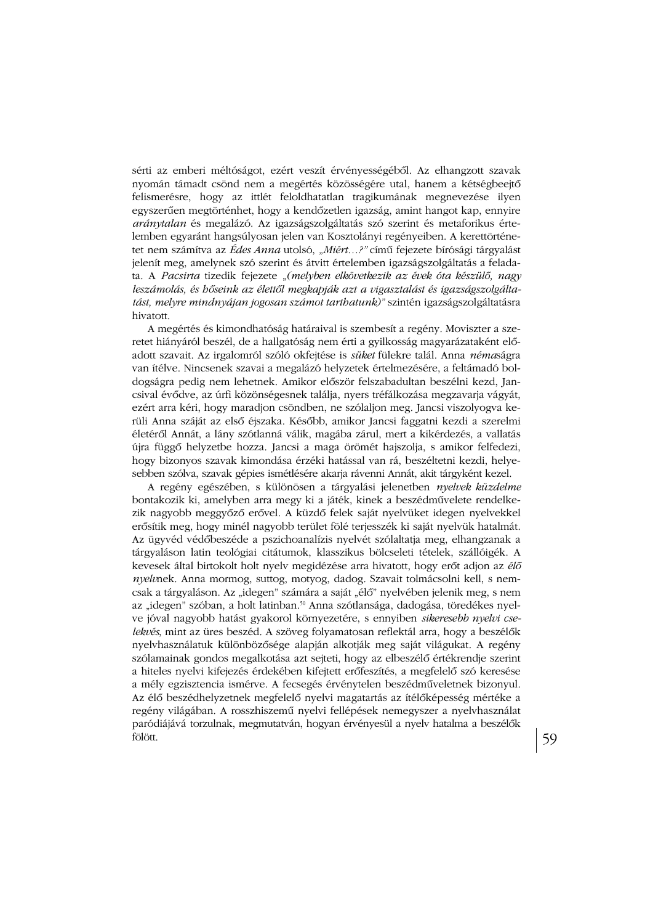sérti az emberi méltóságot, ezért veszít érvényességéből. Az elhangzott szavak nyomán támadt csönd nem a megértés közösségére utal, hanem a kétségbeejtő felismerésre, hogy az ittlét feloldhatatlan tragikumának megnevezése ilyen egyszerűen megtörténhet, hogy a kendőzetlen igazság, amint hangot kap, ennyire *aránytalan* és megalázó. Az igazságszolgáltatás szó szerint és metaforikus értelemben egyaránt hangsúlyosan jelen van Kosztolányi regényeiben. A kerettörténetet nem számítva az Édes Anna utolsó, "Miért...?" című fejezete bírósági tárgyalást jelenít meg, amelynek szó szerint és átvitt értelemben igazságszolgáltatás a feladata. A Pacsirta tizedik fejezete "(melyben elkövetkezik az évek óta készülő, nagy leszámolás, és hőseink az élettől megkapják azt a vigasztalást és igazságszolgáltatást, melyre mindnyájan jogosan számot tarthatunk)" szintén igazságszolgáltatásra hivatott.

A megértés és kimondhatóság határaival is szembesít a regény. Moviszter a szeretet hiányáról beszél, de a hallgatóság nem érti a gyilkosság magyarázataként előadott szavait. Az irgalomról szóló okfejtése is süket fülekre talál. Anna némaságra van ítélve. Nincsenek szavai a megalázó helyzetek értelmezésére, a feltámadó boldogságra pedig nem lehetnek. Amikor először felszabadultan beszélni kezd, Jancsival évődve, az úrfi közönségesnek találja, nyers tréfálkozása megzavarja vágyát, ezért arra kéri, hogy maradjon csöndben, ne szólaljon meg. Jancsi viszolyogya kerüli Anna száját az első éjszaka. Később, amikor Jancsi faggatni kezdi a szerelmi életéről Annát, a lány szótlanná válik, magába zárul, mert a kikérdezés, a vallatás újra függő helyzetbe hozza. Jancsi a maga örömét hajszolja, s amikor felfedezi, hogy bizonyos szavak kimondása érzéki hatással van rá, beszéltetni kezdi, helyesebben szólva, szavak gépies ismétlésére akarja rávenni Annát, akit tárgyként kezel.

A regény egészében, s különösen a tárgyalási jelenetben nyelvek küzdelme bontakozik ki, amelyben arra megy ki a játék, kinek a beszédművelete rendelkezik nagyobb meggyőző erővel. A küzdő felek saját nyelvüket idegen nyelvekkel erősítik meg, hogy minél nagyobb terület fölé terjesszék ki saját nyelvük hatalmát. Az ügyvéd védőbeszéde a pszichoanalízis nyelvét szólaltatja meg, elhangzanak a tárgyaláson latin teológiai citátumok, klasszikus bölcseleti tételek, szállóigék. A kevesek által birtokolt holt nyelv megidézése arra hivatott, hogy erőt adjon az élő nyelvnek. Anna mormog, suttog, motyog, dadog. Szavait tolmácsolni kell, s nemcsak a tárgyaláson. Az "idegen" számára a saját "élő" nyelvében jelenik meg, s nem az "idegen" szóban, a holt latinban.<sup>50</sup> Anna szótlansága, dadogása, töredékes nyelve jóval nagyobb hatást gyakorol környezetére, s ennyiben sikeresebb nyelvi cselekvés, mint az üres beszéd. A szöveg folyamatosan reflektál arra, hogy a beszélők nyelvhasználatuk különbözősége alapján alkotják meg saját világukat. A regény szólamainak gondos megalkotása azt sejteti, hogy az elbeszélő értékrendje szerint a hiteles nyelvi kifejezés érdekében kifejtett erőfeszítés, a megfelelő szó keresése a mély egzisztencia ismérve. A fecsegés érvénytelen beszédműveletnek bizonyul. Az élő beszédhelyzetnek megfelelő nyelvi magatartás az ítélőképesség mértéke a regény világában. A rosszhiszemű nyelvi fellépések nemegyszer a nyelvhasználat paródiájává torzulnak, megmutatván, hogyan érvényesül a nyelv hatalma a beszélők fölött.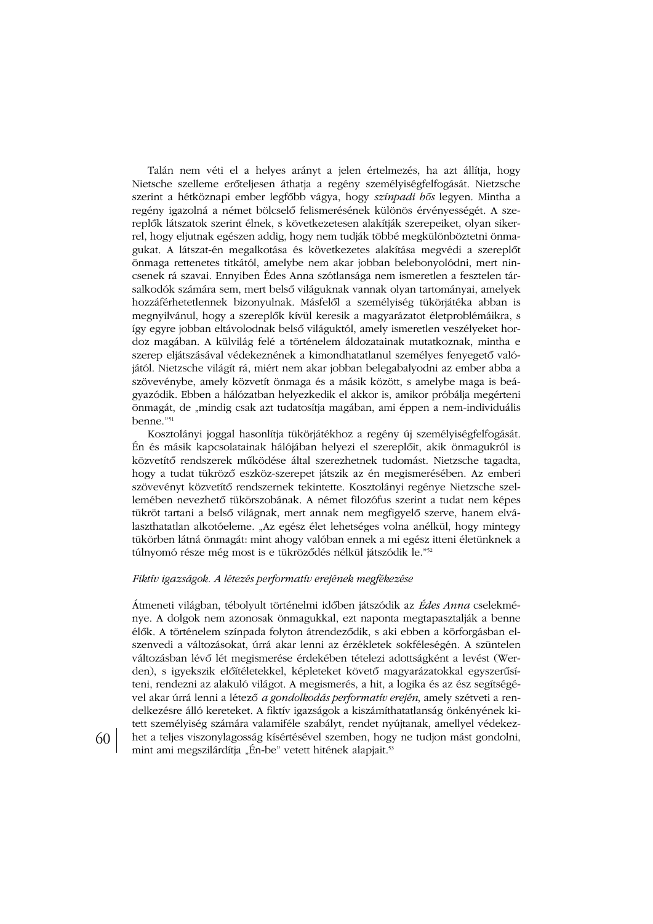Talán nem véti el a helyes arányt a jelen értelmezés, ha azt állítja, hogy Nietsche szelleme erőteljesen áthatja a regény személyiségfelfogását. Nietzsche szerint a hétköznapi ember legfőbb vágya, hogy színpadi hős legyen. Mintha a regény igazolná a német bölcselő felismerésének különös érvényességét. A szereplők látszatok szerint élnek, s következetesen alakítják szerepeiket, olyan sikerrel, hogy eljutnak egészen addig, hogy nem tudják többé megkülönböztetni önmagukat. A látszat-én megalkotása és következetes alakítása megvédi a szereplőt önmaga rettenetes titkától, amelybe nem akar jobban belebonyolódni, mert nincsenek rá szavai. Ennyiben Édes Anna szótlansága nem ismeretlen a fesztelen társalkodók számára sem, mert belső világuknak vannak olyan tartományai, amelyek hozzáférhetetlennek bizonyulnak. Másfelől a személyiség tükörjátéka abban is megnyilvánul, hogy a szereplők kívül keresik a magyarázatot életproblémáikra, s így egyre jobban eltávolodnak belső világuktól, amely ismeretlen veszélyeket hordoz magában. A külvilág felé a történelem áldozatainak mutatkoznak, mintha e szerep eljátszásával védekeznének a kimondhatatlanul személyes fenyegető valójától. Nietzsche világít rá, miért nem akar jobban belegabalyodni az ember abba a szövevénybe, amely közvetít önmaga és a másik között, s amelybe maga is beágyazódik. Ebben a hálózatban helyezkedik el akkor is, amikor próbálja megérteni önmagát, de "mindig csak azt tudatosítja magában, ami éppen a nem-individuális benne."51

Kosztolányi joggal hasonlítja tükörjátékhoz a regény új személyiségfelfogását. Én és másik kapcsolatainak hálójában helyezi el szereplőit, akik önmagukról is közvetítő rendszerek működése által szerezhetnek tudomást. Nietzsche tagadta, hogy a tudat tükröző eszköz-szerepet játszik az én megismerésében. Az emberi szövevényt közvetítő rendszernek tekintette. Kosztolányi regénye Nietzsche szellemében nevezhető tükörszobának. A német filozófus szerint a tudat nem képes tükröt tartani a belső világnak, mert annak nem megfigyelő szerve, hanem elválaszthatatlan alkotóeleme. "Az egész élet lehetséges volna anélkül, hogy mintegy tükörben látná önmagát: mint ahogy valóban ennek a mi egész itteni életünknek a túlnyomó része még most is e tükröződés nélkül játszódik le."52

#### Fiktív igazságok. A létezés performatív erejének megfékezése

Átmeneti világban, tébolyult történelmi időben játszódik az Édes Anna cselekménye. A dolgok nem azonosak önmagukkal, ezt naponta megtapasztalják a benne élők. A történelem színpada folyton átrendeződik, s aki ebben a körforgásban elszenvedi a változásokat, úrrá akar lenni az érzékletek sokféleségén. A szüntelen változásban lévő lét megismerése érdekében tételezi adottságként a levést (Werden), s igyekszik előítéletekkel, képleteket követő magyarázatokkal egyszerűsíteni, rendezni az alakuló világot. A megismerés, a hit, a logika és az ész segítségével akar úrrá lenni a létező a gondolkodás performatív erején, amely szétveti a rendelkezésre álló kereteket. A fiktív igazságok a kiszámíthatatlanság önkényének kitett személyiség számára valamiféle szabályt, rendet nyújtanak, amellyel védekezhet a teljes viszonylagosság kísértésével szemben, hogy ne tudjon mást gondolni, mint ami megszilárdítja "Én-be" vetett hitének alapjait.<sup>53</sup>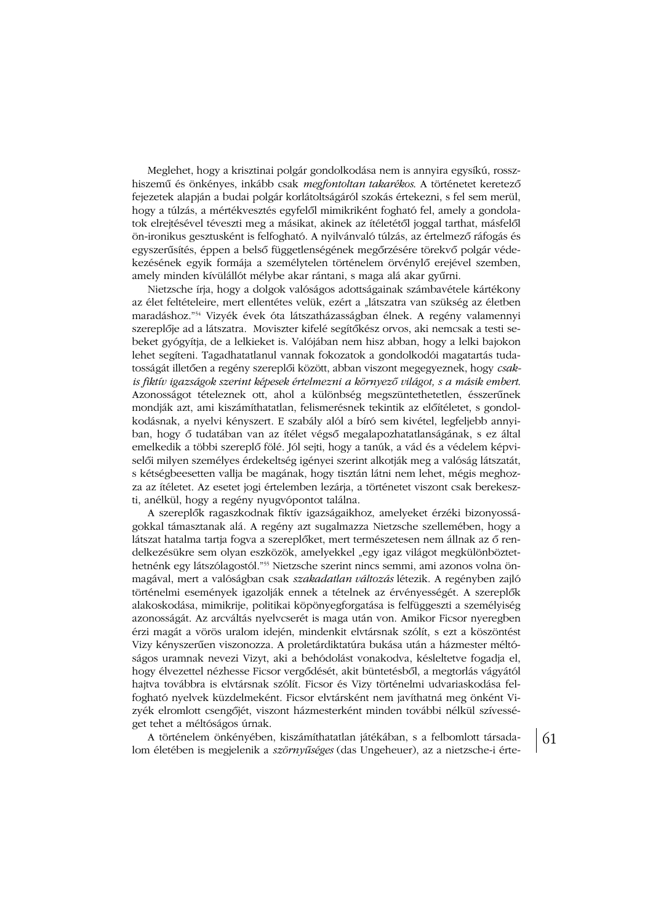Meglehet, hogy a krisztinai polgár gondolkodása nem is annyira egysíkú, rosszhiszemű és önkényes, inkább csak megfontoltan takarékos. A történetet keretező fejezetek alapján a budai polgár korlátoltságáról szokás értekezni, s fel sem merül, hogy a túlzás, a mértékvesztés egyfelől mimikriként fogható fel, amely a gondolatok elrejtésével téveszti meg a másikat, akinek az ítéletétől joggal tarthat, másfelől ön-ironikus gesztusként is felfogható. A nyilvánvaló túlzás, az értelmező ráfogás és egyszerűsítés, éppen a belső függetlenségének megőrzésére törekvő polgár védekezésének egyik formája a személytelen történelem örvénylő erejével szemben, amely minden kívülállót mélybe akar rántani, s maga alá akar gyűrni.

Nietzsche írja, hogy a dolgok valóságos adottságainak számbavétele kártékony az élet feltételeire, mert ellentétes velük, ezért a "látszatra van szükség az életben maradáshoz."<sup>54</sup> Vizyék évek óta látszatházasságban élnek. A regény valamennyi szereplője ad a látszatra. Moviszter kifelé segítőkész orvos, aki nemcsak a testi sebeket gyógyítja, de a lelkieket is. Valójában nem hisz abban, hogy a lelki bajokon lehet segíteni. Tagadhatatlanul vannak fokozatok a gondolkodói magatartás tudatosságát illetően a regény szereplői között, abban viszont megegyeznek, hogy csakis fiktív igazságok szerint képesek értelmezni a környező világot, s a másik embert, Azonosságot tételeznek ott, ahol a különbség megszüntethetetlen, ésszerűnek mondják azt, ami kiszámíthatatlan, felismerésnek tekintik az előítéletet, s gondolkodásnak, a nyelvi kényszert. E szabály alól a bíró sem kivétel, legfeljebb annyiban, hogy ő tudatában van az ítélet végső megalapozhatatlanságának, s ez által emelkedik a többi szereplő fölé. Jól sejti, hogy a tanúk, a vád és a védelem képviselői milyen személyes érdekeltség igényei szerint alkotják meg a valóság látszatát, s kétségbeesetten vallja be magának, hogy tisztán látni nem lehet, mégis meghozza az ítéletet. Az esetet jogi értelemben lezárja, a történetet viszont csak berekeszti, anélkül, hogy a regény nyugvópontot találna.

A szereplők ragaszkodnak fiktív igazságaikhoz, amelyeket érzéki bizonyosságokkal támasztanak alá. A regény azt sugalmazza Nietzsche szellemében, hogy a látszat hatalma tartja fogva a szereplőket, mert természetesen nem állnak az ő rendelkezésükre sem olyan eszközök, amelyekkel "egy igaz világot megkülönböztethetnénk egy látszólagostól."<sup>55</sup> Nietzsche szerint nincs semmi, ami azonos volna önmagával, mert a valóságban csak szakadatlan változás létezik. A regényben zajló történelmi események igazolják ennek a tételnek az érvényességét. A szereplők alakoskodása, mimikrije, politikai köpönyegforgatása is felfüggeszti a személyiség azonosságát. Az arcváltás nyelvcserét is maga után von. Amikor Ficsor nyeregben érzi magát a vörös uralom idején, mindenkit elvtársnak szólít, s ezt a köszöntést Vizy kényszerűen viszonozza. A proletárdiktatúra bukása után a házmester méltóságos uramnak nevezi Vizyt, aki a behódolást vonakodva, késleltetve fogadja el, hogy élvezettel nézhesse Ficsor vergődését, akit büntetésből, a megtorlás vágyától hajtva továbbra is elvtársnak szólít. Ficsor és Vizy történelmi udvariaskodása felfogható nyelvek küzdelmeként. Ficsor elvtársként nem javíthatná meg önként Vizyék elromlott csengőjét, viszont házmesterként minden további nélkül szívességet tehet a méltóságos úrnak.

A történelem önkényében, kiszámíthatatlan játékában, s a felbomlott társadalom életében is megjelenik a szörnyűséges (das Ungeheuer), az a nietzsche-i érte-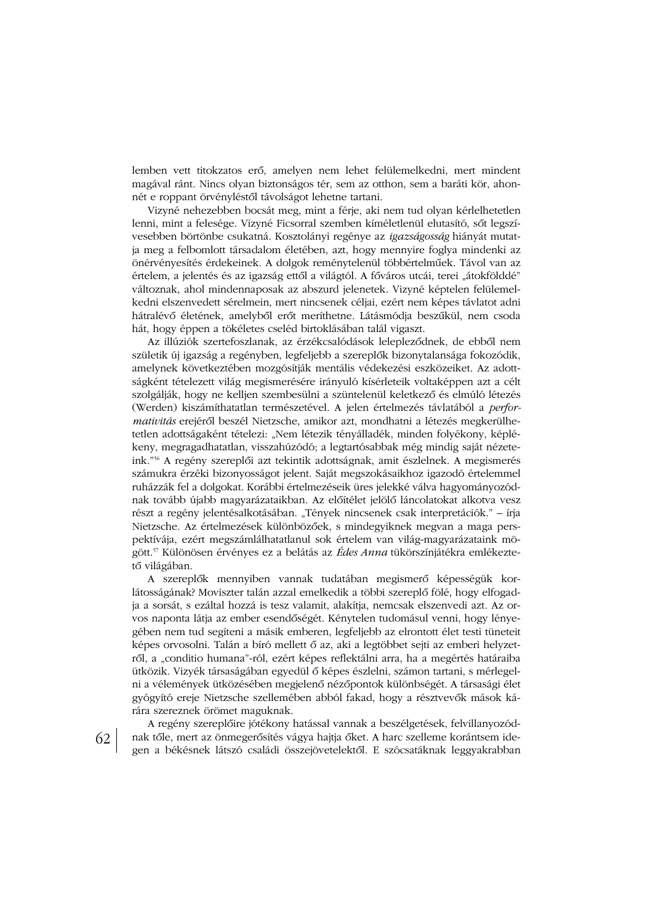lemben vett titokzatos erő, amelyen nem lehet felülemelkedni, mert mindent magával ránt. Nincs olyan biztonságos tér, sem az otthon, sem a baráti kör, ahonnét e roppant örvényléstől távolságot lehetne tartani.

Vizyné nehezebben bocsát meg, mint a férje, aki nem tud olyan kérlelhetetlen lenni, mint a felesége. Vizyné Ficsorral szemben kíméletlenül elutasító, sőt legszívesebben börtönbe csukatná. Kosztolányi regénye az igazságosság hiányát mutatja meg a felbomlott társadalom életében, azt, hogy mennyire foglya mindenki az önérvényesítés érdekeinek. A dolgok reménytelenül többértelműek. Távol van az értelem, a jelentés és az igazság ettől a világtól. A főváros utcái, terei "átokfölddé" változnak, ahol mindennaposak az abszurd jelenetek. Vizyné képtelen felülemelkedni elszenvedett sérelmein, mert nincsenek céljai, ezért nem képes távlatot adni hátralévő életének, amelyből erőt meríthetne. Látásmódja beszűkül, nem csoda hát, hogy éppen a tökéletes cseléd birtoklásában talál vigaszt.

Az illúziók szertefoszlanak, az érzékcsalódások lelepleződnek, de ebből nem születik új igazság a regényben, legfeljebb a szereplők bizonytalansága fokozódik, amelynek következtében mozgósítják mentális védekezési eszközeiket. Az adottságként tételezett világ megismerésére irányuló kísérleteik voltaképpen azt a célt szolgálják, hogy ne kelljen szembesülni a szüntelenül keletkező és elmúló létezés (Werden) kiszámíthatatlan természetével. A jelen értelmezés távlatából a performativitás erejéről beszél Nietzsche, amikor azt, mondhatni a létezés megkerülhetetlen adottságaként tételezi: "Nem létezik tényálladék, minden folyékony, képlékeny, megragadhatatlan, visszahúzódó; a legtartósabbak még mindig saját nézeteink."<sup>56</sup> A regény szereplői azt tekintik adottságnak, amit észlelnek. A megismerés számukra érzéki bizonyosságot jelent. Saját megszokásaikhoz igazodó értelemmel ruházzák fel a dolgokat. Korábbi értelmezéseik üres jelekké válva hagyományozódnak tovább újabb magyarázataikban. Az előítélet jelölő láncolatokat alkotva vesz részt a regény jelentésalkotásában. "Tények nincsenek csak interpretációk." – írja Nietzsche. Az értelmezések különbözőek, s mindegyiknek megyan a maga perspektívája, ezért megszámlálhatatlanul sok értelem van világ-magyarázataink mögött.<sup>57</sup> Különösen érvényes ez a belátás az *Édes Anna* tükörszínjátékra emlékeztető világában.

A szereplők mennyiben vannak tudatában megismerő képességük korlátosságának? Moviszter talán azzal emelkedik a többi szereplő fölé, hogy elfogadja a sorsát, s ezáltal hozzá is tesz valamit, alakítja, nemcsak elszenvedi azt. Az orvos naponta látja az ember esendőségét. Kénytelen tudomásul venni, hogy lényegében nem tud segíteni a másik emberen, legfeljebb az elrontott élet testi tüneteit képes orvosolni. Talán a bíró mellett ő az, aki a legtöbbet sejti az emberi helyzetről, a "conditio humana"-ról, ezért képes reflektálni arra, ha a megértés határaiba ütközik. Vizyék társaságában egyedül ő képes észlelni, számon tartani, s mérlegelni a vélemények ütközésében megjelenő nézőpontok különbségét. A társasági élet gyógyító ereje Nietzsche szellemében abból fakad, hogy a résztvevők mások kárára szereznek örömet maguknak.

A regény szereplőire jótékony hatással vannak a beszélgetések, felvillanyozódnak tőle, mert az önmegerősítés vágya hajtja őket. A harc szelleme korántsem idegen a békésnek látszó családi összejövetelektől. E szócsatáknak leggyakrabban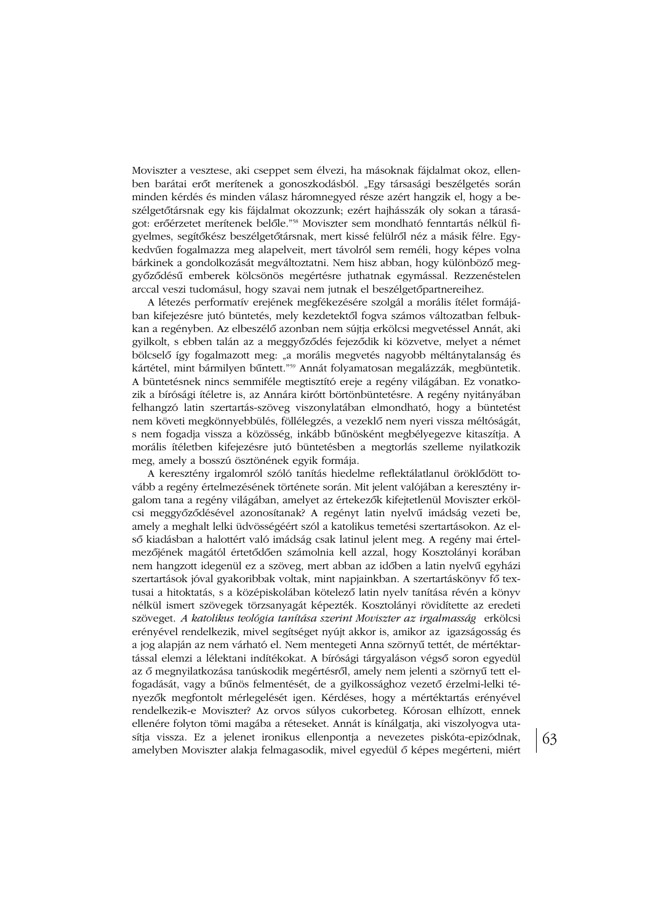Moviszter a vesztese, aki cseppet sem élvezi, ha másoknak fájdalmat okoz, ellenben barátai erőt merítenek a gonoszkodásból. "Egy társasági beszélgetés során minden kérdés és minden válasz háromnegyed része azért hangzik el, hogy a beszélgetőtársnak egy kis fájdalmat okozzunk; ezért hajhásszák oly sokan a táraságot: erőérzetet merítenek belőle."<sup>58</sup> Moviszter sem mondható fenntartás nélkül figyelmes, segítőkész beszélgetőtársnak, mert kissé felülről néz a másik félre. Egykedvűen fogalmazza meg alapelveit, mert távolról sem reméli, hogy képes volna bárkinek a gondolkozását megváltoztatni. Nem hisz abban, hogy különböző meggyőződésű emberek kölcsönös megértésre juthatnak egymással. Rezzenéstelen arccal veszi tudomásul, hogy szavai nem jutnak el beszélgetőpartnereihez.

A létezés performatív erejének megfékezésére szolgál a morális ítélet formájában kifejezésre jutó büntetés, mely kezdetektől fogva számos változatban felbukkan a regényben. Az elbeszélő azonban nem sújtja erkölcsi megvetéssel Annát, aki gyilkolt, s ebben talán az a meggyőződés fejeződik ki közvetve, melyet a német bölcselő így fogalmazott meg: "a morális megyetés nagyobb méltánytalanság és kártétel, mint bármilyen bűntett."<sup>59</sup> Annát folyamatosan megalázzák, megbüntetik. A büntetésnek nincs semmiféle megtisztító ereje a regény világában. Ez vonatkozik a bírósági ítéletre is, az Annára kirótt börtönbüntetésre. A regény nyitányában felhangzó latin szertartás-szöveg viszonylatában elmondható, hogy a büntetést nem követi megkönnyebbülés, föllélegzés, a vezeklő nem nyeri vissza méltóságát, s nem fogadja vissza a közösség, inkább bűnösként megbélyegezve kitaszítja. A morális ítéletben kifejezésre jutó büntetésben a megtorlás szelleme nyilatkozik meg, amely a bosszú ösztönének egyik formája.

A keresztény irgalomról szóló tanítás hiedelme reflektálatlanul öröklődött tovább a regény értelmezésének története során. Mit jelent valójában a keresztény irgalom tana a regény világában, amelyet az értekezők kifejtetlenül Moviszter erkölcsi meggyőződésével azonosítanak? A regényt latin nyelvű imádság vezeti be, amely a meghalt lelki üdvösségéért szól a katolikus temetési szertartásokon. Az első kiadásban a halottért való imádság csak latinul jelent meg. A regény mai értelmezőjének magától értetődően számolnia kell azzal, hogy Kosztolányi korában nem hangzott idegenül ez a szöveg, mert abban az időben a latin nyelvű egyházi szertartások jóval gyakoribbak voltak, mint napjainkban. A szertartáskönyv fő textusai a hitoktatás, s a középiskolában kötelező latin nyelv tanítása révén a könyv nélkül ismert szövegek törzsanyagát képezték. Kosztolányi rövidítette az eredeti szöveget. A katolikus teológia tanítása szerint Moviszter az irgalmasság erkölcsi erényével rendelkezik, mivel segítséget nyújt akkor is, amikor az igazságosság és a jog alapján az nem várható el. Nem mentegeti Anna szörnyű tettét, de mértéktartással elemzi a lélektani indítékokat. A bírósági tárgyaláson végső soron egyedül az ő megnyilatkozása tanúskodik megértésről, amely nem jelenti a szörnyű tett elfogadását, vagy a bűnös felmentését, de a gyilkossághoz vezető érzelmi-lelki tényezők megfontolt mérlegelését igen. Kérdéses, hogy a mértéktartás erényével rendelkezik-e Moviszter? Az orvos súlyos cukorbeteg. Kórosan elhízott, ennek ellenére folyton tömi magába a réteseket. Annát is kínálgatja, aki viszolyogya utasítja vissza. Ez a jelenet ironikus ellenpontja a nevezetes piskóta-epizódnak, amelyben Moviszter alakja felmagasodik, mivel egyedül ő képes megérteni, miért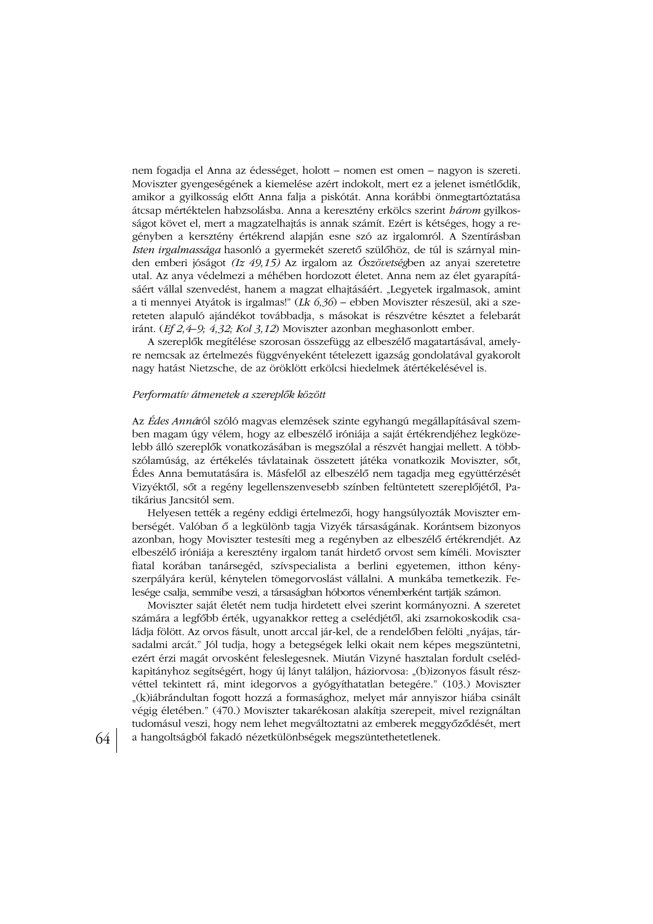nem fogadja el Anna az édességet, holott – nomen est omen – nagyon is szereti. Moviszter gyengeségének a kiemelése azért indokolt, mert ez a jelenet ismétlődik, amikor a gyilkosság előtt Anna falja a piskótát. Anna korábbi önmegtartóztatása átcsap mértéktelen habzsolásba. Anna a keresztény erkölcs szerint három gyilkosságot követ el, mert a magzatelhajtás is annak számít. Ezért is kétséges, hogy a regényben a kersztény értékrend alapján esne szó az irgalomról. A Szentírásban Isten irgalmassága hasonló a gyermekét szerető szülőhöz, de túl is szárnyal minden emberi jóságot (Iz 49,15) Az irgalom az Ószövetségben az anyai szeretetre utal. Az anya védelmezi a méhében hordozott életet. Anna nem az élet gyarapításáért vállal szenvedést, hanem a magzat elhajtásáért. "Legyetek irgalmasok, amint a ti mennyei Atyátok is irgalmas!" (Lk  $6,36$ ) – ebben Moviszter részesül, aki a szereteten alapuló ajándékot továbbadja, s másokat is részvétre késztet a felebarát iránt. (Ef 2, 4–9; 4, 32; Kol 3, 12) Moviszter azonban meghasonlott ember.

A szereplők megítélése szorosan összefügg az elbeszélő magatartásával, amelyre nemcsak az értelmezés függvényeként tételezett igazság gondolatával gyakorolt nagy hatást Nietzsche, de az öröklött erkölcsi hiedelmek átértékelésével is.

# Performatív átmenetek a szereplők között

Az Édes Annáról szóló magyas elemzések szinte egyhangú megállapításával szemben magam úgy vélem, hogy az elbeszélő iróniája a saját értékrendjéhez legközelebb álló szereplők vonatkozásában is megszólal a részvét hangjai mellett. A többszólamúság, az értékelés távlatainak összetett játéka vonatkozik Moviszter, sőt, Édes Anna bemutatására is. Másfelől az elbeszélő nem tagadja meg együttérzését Vizyéktől, sőt a regény legellenszenvesebb színben feltüntetett szereplőjétől, Patikárius Jancsitól sem.

Helyesen tették a regény eddigi értelmezői, hogy hangsúlyozták Moviszter emberségét. Valóban ő a legkülönb tagja Vizyék társaságának. Korántsem bizonyos azonban, hogy Moviszter testesíti meg a regényben az elbeszélő értékrendjét. Az elbeszélő iróniája a keresztény irgalom tanát hirdető orvost sem kíméli. Moviszter fiatal korában tanársegéd, szívspecialista a berlini egyetemen, itthon kényszerpályára kerül, kénytelen tömegorvoslást vállalni. A munkába temetkezik. Felesége csalja, semmibe veszi, a társaságban hóbortos vénemberként tartják számon.

Moviszter saját életét nem tudja hirdetett elvei szerint kormányozni. A szeretet számára a legfőbb érték, ugyanakkor retteg a cselédjétől, aki zsarnokoskodik családja fölött. Az orvos fásult, unott arccal jár-kel, de a rendelőben felölti "nyájas, társadalmi arcát." Jól tudja, hogy a betegségek lelki okait nem képes megszüntetni, ezért érzi magát orvosként feleslegesnek. Miután Vizyné hasztalan fordult cselédkapitányhoz segítségért, hogy új lányt találjon, háziorvosa: "(b)izonyos fásult részvéttel tekintett rá, mint idegorvos a gyógyíthatatlan betegére." (103.) Moviszter "(k)iábrándultan fogott hozzá a formasághoz, melyet már annyiszor hiába csinált végig életében." (470.) Moviszter takarékosan alakítja szerepeit, mivel rezignáltan tudomásul veszi, hogy nem lehet megváltoztatni az emberek meggyőződését, mert a hangoltságból fakadó nézetkülönbségek megszüntethetetlenek.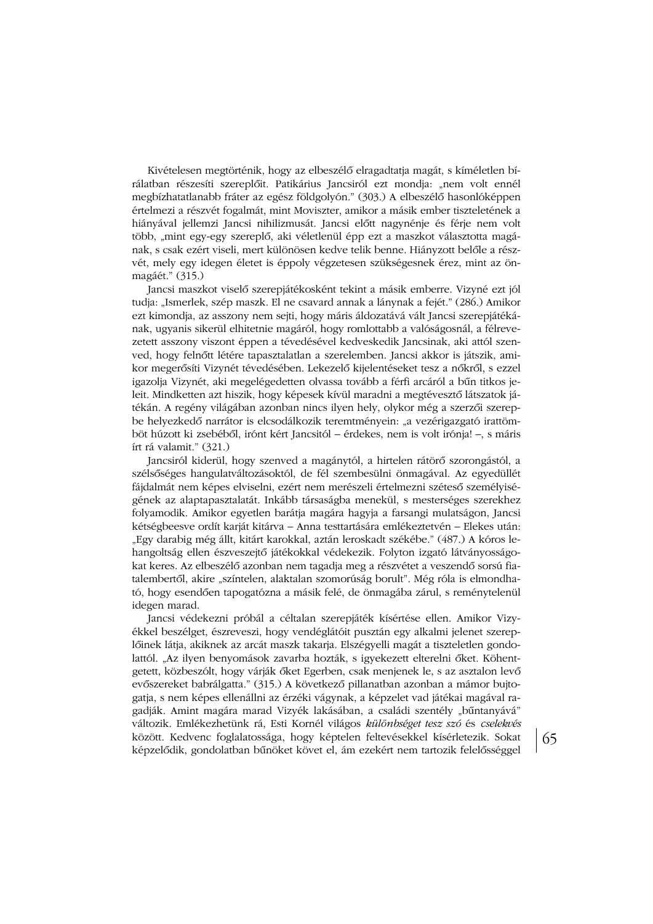Kivételesen megtörténik, hogy az elbeszélő elragadtatja magát, s kíméletlen bírálatban részesíti szereplőit. Patikárius Jancsiról ezt mondja: "nem volt ennél megbízhatatlanabb fráter az egész földgolyón." (303.) A elbeszélő hasonlóképpen értelmezi a részvét fogalmát, mint Moviszter, amikor a másik ember tiszteletének a hiányával jellemzi Jancsi nihilizmusát. Jancsi előtt nagynénje és férje nem volt több, "mint egy-egy szereplő, aki véletlenül épp ezt a maszkot választotta magának, s csak ezért viseli, mert különösen kedve telik benne. Hiányzott belőle a részvét, mely egy idegen életet is éppoly végzetesen szükségesnek érez, mint az önmagáét." (315.)

Jancsi maszkot viselő szerepjátékosként tekint a másik emberre. Vizyné ezt jól tudja: "Ismerlek, szép maszk. El ne csavard annak a lánynak a fejét." (286.) Amikor ezt kimondja, az asszony nem sejti, hogy máris áldozatává vált Jancsi szerepjátékának, ugyanis sikerül elhitetnie magáról, hogy romlottabb a valóságosnál, a félrevezetett asszony viszont éppen a tévedésével kedveskedik Jancsinak, aki attól szenved, hogy felnőtt létére tapasztalatlan a szerelemben. Jancsi akkor is játszik, amikor megerősíti Vizynét tévedésében. Lekezelő kijelentéseket tesz a nőkről, s ezzel igazolja Vizynét, aki megelégedetten olvassa tovább a férfi arcáról a bűn titkos jeleit. Mindketten azt hiszik, hogy képesek kívül maradni a megtévesztő látszatok játékán. A regény világában azonban nincs ilyen hely, olykor még a szerzői szerepbe helyezkedő narrátor is elcsodálkozik teremtményein: "a vezérigazgató irattömböt húzott ki zsebéből, irónt kért Jancsitól – érdekes, nem is volt irónja! –, s máris írt rá valamit." (321.)

Jancsiról kiderül, hogy szenved a magánytól, a hirtelen rátörő szorongástól, a szélsőséges hangulatváltozásoktól, de fél szembesülni önmagával. Az egyedüllét fájdalmát nem képes elviselni, ezért nem merészeli értelmezni széteső személyiségének az alaptapasztalatát. Inkább társaságba menekül, s mesterséges szerekhez folyamodik. Amikor egyetlen barátja magára hagyja a farsangi mulatságon, Jancsi kétségbeesve ordít karját kitárva – Anna testtartására emlékeztetvén – Elekes után: "Egy darabig még állt, kitárt karokkal, aztán leroskadt székébe." (487.) A kóros lehangoltság ellen észveszejtő játékokkal védekezik. Folyton izgató látványosságokat keres. Az elbeszélő azonban nem tagadja meg a részvétet a veszendő sorsú fiatalembertől, akire "színtelen, alaktalan szomorúság borult". Még róla is elmondható, hogy esendően tapogatózna a másik felé, de önmagába zárul, s reménytelenül idegen marad.

Jancsi védekezni próbál a céltalan szerepjáték kísértése ellen. Amikor Vizyékkel beszélget, észreveszi, hogy vendéglátóit pusztán egy alkalmi jelenet szereplőinek látja, akiknek az arcát maszk takarja. Elszégyelli magát a tiszteletlen gondolattól. "Az ilyen benyomások zavarba hozták, s igyekezett elterelni őket. Köhentgetett, közbeszólt, hogy várják őket Egerben, csak menjenek le, s az asztalon levő evőszereket babrálgatta." (315.) A következő pillanatban azonban a mámor bujtogatja, s nem képes ellenállni az érzéki vágynak, a képzelet vad játékai magával ragadják. Amint magára marad Vizyék lakásában, a családi szentély "bűntanyává" változik. Emlékezhetünk rá, Esti Kornél világos különbséget tesz szó és cselekvés között. Kedvenc foglalatossága, hogy képtelen feltevésekkel kísérletezik. Sokat képzelődik, gondolatban bűnöket követ el, ám ezekért nem tartozik felelősséggel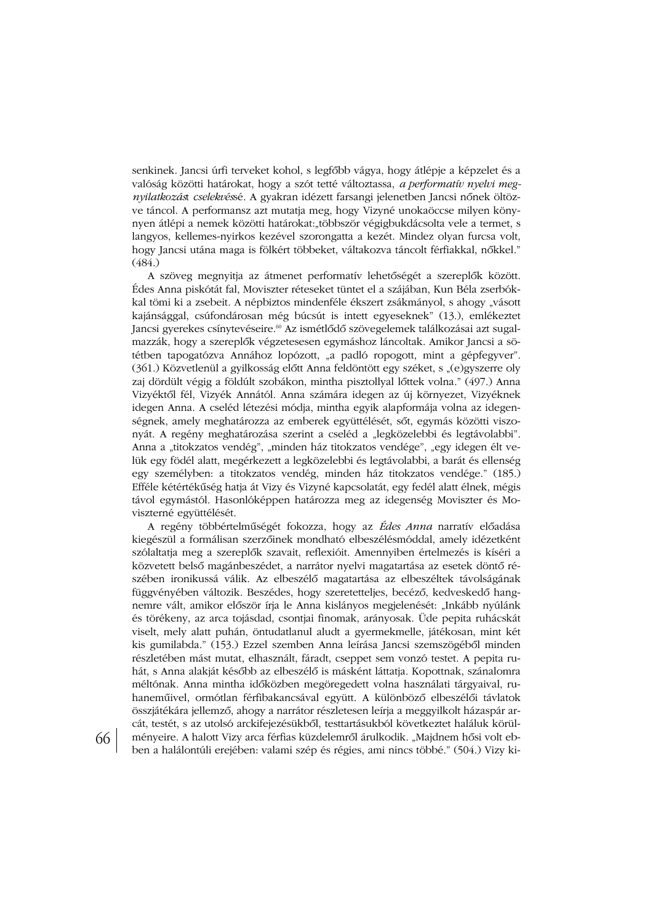senkinek. Jancsi úrfi terveket kohol, s legfőbb vágya, hogy átlépje a képzelet és a valóság közötti határokat, hogy a szót tetté változtassa, a performatív nyelvi megnyilatkozást cselekvéssé. A gyakran idézett farsangi jelenetben Jancsi nőnek öltözve táncol. A performansz azt mutatja meg, hogy Vizyné unokaöccse milyen könynyen átlépi a nemek közötti határokat: többször végigbukdácsolta vele a termet, s langyos, kellemes-nyirkos kezével szorongatta a kezét. Mindez olyan furcsa volt, hogy Jancsi utána maga is fölkért többeket, váltakozva táncolt férfiakkal, nőkkel."  $(484.)$ 

A szöveg megnyitja az átmenet performatív lehetőségét a szereplők között. Édes Anna piskótát fal. Moviszter réteseket tüntet el a szájában. Kun Béla zserbókkal tömi ki a zsebeit. A népbiztos mindenféle ékszert zsákmányol, s ahogy "vásott kajánsággal, csúfondárosan még búcsút is intett egyeseknek" (13.), emlékeztet Jancsi gyerekes csínytevéseire.<sup>60</sup> Az ismétlődő szövegelemek találkozásai azt sugalmazzák, hogy a szereplők végzetesesen egymáshoz láncoltak. Amikor Jancsi a sötétben tapogatózva Annához lopózott, "a padló ropogott, mint a gépfegyver". (361.) Közvetlenül a gyilkosság előtt Anna feldöntött egy széket, s "(e)gyszerre oly zaj dördült végig a földúlt szobákon, mintha pisztollyal lőttek volna." (497.) Anna Vizyéktől fél, Vizyék Annától. Anna számára idegen az új környezet, Vizyéknek idegen Anna. A cseléd létezési módja, mintha egyik alapformája volna az idegenségnek, amely meghatározza az emberek együttélését, sőt, egymás közötti viszonyát. A regény meghatározása szerint a cseléd a "legközelebbi és legtávolabbi". Anna a "titokzatos vendég", "minden ház titokzatos vendége", "egy idegen élt velük egy födél alatt, megérkezett a legközelebbi és legtávolabbi, a barát és ellenség egy személyben: a titokzatos vendég, minden ház titokzatos vendége." (185.) Efféle kétértékűség hatja át Vizy és Vizyné kapcsolatát, egy fedél alatt élnek, mégis távol egymástól. Hasonlóképpen határozza meg az idegenség Moviszter és Moviszterné együttélését.

A regény többértelműségét fokozza, hogy az *Édes Anna* narratív előadása kiegészül a formálisan szerzőinek mondható elbeszélésmóddal, amely idézetként szólaltatja meg a szereplők szavait, reflexióit. Amennyiben értelmezés is kíséri a közvetett belső magánbeszédet, a narrátor nyelvi magatartása az esetek döntő részében ironikussá válik. Az elbeszélő magatartása az elbeszéltek távolságának függvényében változik. Beszédes, hogy szeretetteljes, becéző, kedveskedő hangnemre vált, amikor először írja le Anna kislányos megjelenését: "Inkább nyúlánk és törékeny, az arca tojásdad, csontjai finomak, arányosak. Üde pepita ruhácskát viselt, mely alatt puhán, öntudatlanul aludt a gyermekmelle, játékosan, mint két kis gumilabda." (153.) Ezzel szemben Anna leírása Jancsi szemszögéből minden részletében mást mutat, elhasznált, fáradt, cseppet sem vonzó testet. A pepita ruhát, s Anna alakját később az elbeszélő is másként láttatja. Kopottnak, szánalomra méltónak. Anna mintha időközben megöregedett volna használati tárgyaival, ruhaneműivel, ormótlan férfibakancsával együtt. A különböző elbeszélői távlatok összjátékára jellemző, ahogy a narrátor részletesen leírja a meggyilkolt házaspár arcát, testét, s az utolsó arckifejezésükből, testtartásukból következtet haláluk körülményeire. A halott Vizy arca férfias küzdelemről árulkodik. "Majdnem hősi volt ebben a halálontúli erejében: valami szép és régies, ami nincs többé." (504.) Vizy ki-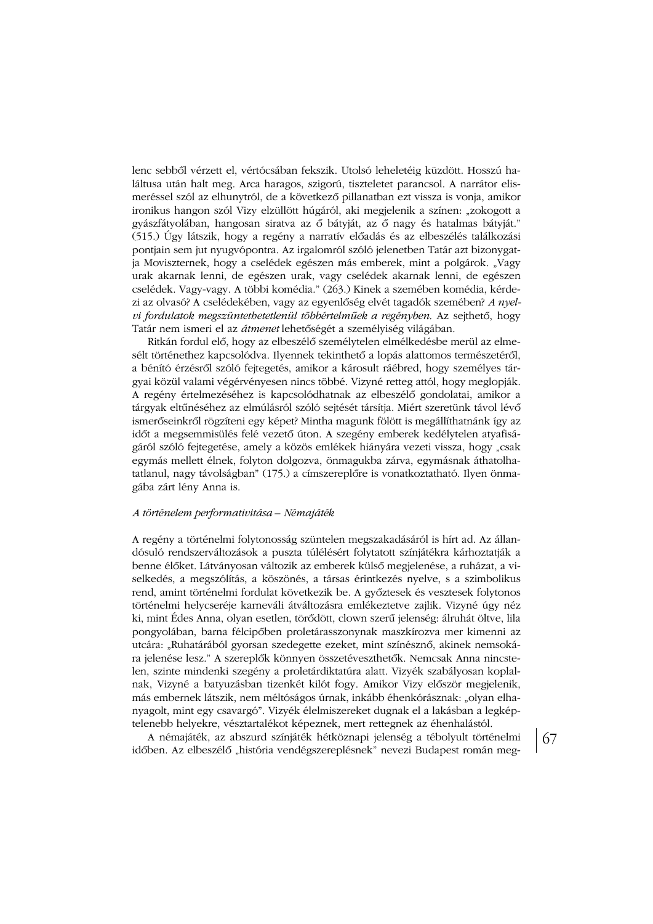lenc sebből vérzett el, vértócsában fekszik. Utolsó leheletéig küzdött. Hosszú haláltusa után halt meg. Arca haragos, szigorú, tiszteletet parancsol. A narrátor elismeréssel szól az elhunytról, de a következő pillanatban ezt vissza is vonja, amikor ironikus hangon szól Vizy elzüllött húgáról, aki megjelenik a színen: "zokogott a gyászfátyolában, hangosan siratva az ő bátyját, az ő nagy és hatalmas bátyját." (515.) Úgy látszik, hogy a regény a narratív előadás és az elbeszélés találkozási pontjain sem jut nyugvópontra. Az irgalomról szóló jelenetben Tatár azt bizonygatja Moviszternek, hogy a cselédek egészen más emberek, mint a polgárok. "Vagy urak akarnak lenni, de egészen urak, vagy cselédek akarnak lenni, de egészen cselédek. Vagy-vagy. A többi komédia." (263.) Kinek a szemében komédia, kérdezi az olvasó? A cselédekében, vagy az egyenlőség elvét tagadók szemében? A nyelvi fordulatok megszüntethetetlenül többértelműek a regényben. Az sejthető, hogy Tatár nem ismeri el az átmenet lehetőségét a személyiség világában.

Ritkán fordul elő, hogy az elbeszélő személytelen elmélkedésbe merül az elmesélt történethez kapcsolódva. Ilyennek tekinthető a lopás alattomos természetéről, a bénító érzésről szóló fejtegetés, amikor a károsult ráébred, hogy személyes tárgyai közül valami végérvényesen nincs többé. Vizyné retteg attól, hogy meglopják. A regény értelmezéséhez is kapcsolódhatnak az elbeszélő gondolatai, amikor a tárgyak eltűnéséhez az elmúlásról szóló sejtését társítja. Miért szeretünk távol lévő ismerőseinkről rögzíteni egy képet? Mintha magunk fölött is megállíthatnánk így az időt a megsemmisülés felé vezető úton. A szegény emberek kedélytelen atvafiságáról szóló fejtegetése, amely a közös emlékek hiányára vezeti vissza, hogy "csak egymás mellett élnek, folyton dolgozva, önmagukba zárva, egymásnak áthatolhatatlanul, nagy távolságban" (175.) a címszereplőre is vonatkoztatható. Ilyen önmagába zárt lény Anna is.

#### *DSBDO>5<5=@5B6?B=1D9F9DMC1c%O=1:MDO;*

A regény a történelmi folytonosság szüntelen megszakadásáról is hírt ad. Az állandósuló rendszerváltozások a puszta túlélésért folytatott színjátékra kárhoztatják a benne élőket. Látványosan változik az emberek külső megjelenése, a ruházat, a viselkedés, a megszólítás, a köszönés, a társas érintkezés nyelve, s a szimbolikus rend, amint történelmi fordulat következik be. A győztesek és vesztesek folytonos történelmi helycseréje karneváli átváltozásra emlékeztetve zajlik. Vizyné úgy néz ki, mint Édes Anna, olyan esetlen, törődött, clown szerű jelenség: álruhát öltve, lila pongyolában, barna félcipőben proletárasszonynak maszkírozva mer kimenni az utcára: "Ruhatárából gyorsan szedegette ezeket, mint színésznő, akinek nemsokára jelenése lesz." A szereplők könnyen összetéveszthetők. Nemcsak Anna nincstelen, szinte mindenki szegény a proletárdiktatúra alatt. Vizyék szabályosan koplalnak, Vizyné a batyuzásban tizenkét kilót fogy. Amikor Vizy először megjelenik, más embernek látszik, nem méltóságos úrnak, inkább éhenkórásznak: "olyan elhanyagolt, mint egy csavargó". Vizyék élelmiszereket dugnak el a lakásban a legképtelenebb helyekre, vésztartalékot képeznek, mert rettegnek az éhenhalástól.

A némajáték, az abszurd színjáték hétköznapi jelenség a tébolyult történelmi időben. Az elbeszélő "história vendégszereplésnek" nevezi Budapest román meg-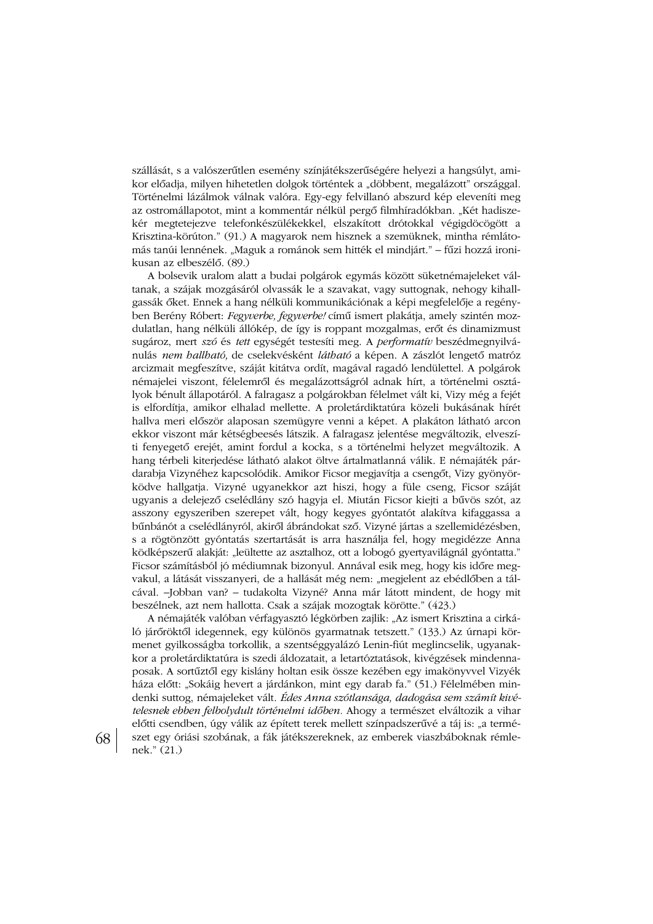szállását, s a valószerűtlen esemény színjátékszerűségére helyezi a hangsúlyt, amikor előadja, milyen hihetetlen dolgok történtek a "döbbent, megalázott" országgal. Történelmi lázálmok válnak valóra. Egy-egy felvillanó abszurd kép eleveníti meg az ostromállapotot, mint a kommentár nélkül pergő filmhíradókban. "Két hadiszekér megtetejezve telefonkészülékekkel, elszakított drótokkal végigdöcögött a Krisztina-körúton." (91.) A magyarok nem hisznek a szemüknek, mintha rémlátomás tanúi lennének. "Maguk a románok sem hitték el mindjárt." – fűzi hozzá ironikusan az elbeszélő. (89.)

A bolsevik uralom alatt a budai polgárok egymás között süketnémajeleket váltanak, a szájak mozgásáról olvassák le a szavakat, vagy suttognak, nehogy kihallgassák őket. Ennek a hang nélküli kommunikációnak a képi megfelelője a regényben Berény Róbert: Fegyverbe, fegyverbe! című ismert plakátja, amely szintén mozdulatlan, hang nélküli állókép, de így is roppant mozgalmas, erőt és dinamizmust sugároz, mert szó és tett egységét testesíti meg. A *performatív* beszédmegnyilvánulás nem hallható, de cselekvésként látható a képen. A zászlót lengető matróz arcizmait megfeszítve, száját kitátva ordít, magával ragadó lendülettel. A polgárok némajelei viszont, félelemről és megalázottságról adnak hírt, a történelmi osztályok bénult állapotáról. A falragasz a polgárokban félelmet vált ki, Vizy még a fejét is elfordítja, amikor elhalad mellette. A proletárdiktatúra közeli bukásának hírét hallva meri először alaposan szemügyre venni a képet. A plakáton látható arcon ekkor viszont már kétségbeesés látszik. A falragasz jelentése megváltozik, elveszíti fenyegető erejét, amint fordul a kocka, s a történelmi helyzet megváltozik. A hang térbeli kiterjedése látható alakot öltve ártalmatlanná válik. E némajáték párdarabja Vizynéhez kapcsolódik. Amikor Ficsor megjavítja a csengőt, Vizy gyönyörködve hallgatja. Vizyné ugyanekkor azt hiszi, hogy a füle cseng, Ficsor száját ugyanis a delejező cselédlány szó hagyja el. Miután Ficsor kiejti a bűvös szót, az asszony egyszeriben szerepet vált, hogy kegyes gyóntatót alakítva kifaggassa a bűnbánót a cselédlányról, akiről ábrándokat sző. Vizyné jártas a szellemidézésben, s a rögtönzött gyóntatás szertartását is arra használja fel, hogy megidézze Anna ködképszerű alakját: "leültette az asztalhoz, ott a lobogó gyertyavilágnál gyóntatta." Ficsor számításból jó médiumnak bizonyul. Annával esik meg, hogy kis időre megvakul, a látását visszanyeri, de a hallását még nem: "megjelent az ebédlőben a tálcával. -Jobban van? - tudakolta Vizyné? Anna már látott mindent, de hogy mit beszélnek, azt nem hallotta. Csak a szájak mozogtak körötte." (423.)

A némajáték valóban vérfagyasztó légkörben zajlik: "Az ismert Krisztina a cirkáló járőröktől idegennek, egy különös gyarmatnak tetszett." (133.) Az úrnapi körmenet gyilkosságba torkollik, a szentséggyalázó Lenin-fiút meglincselik, ugyanakkor a proletárdiktatúra is szedi áldozatait, a letartóztatások, kivégzések mindennaposak. A sortűztől egy kislány holtan esik össze kezében egy imakönyvvel Vizyék háza előtt: "Sokáig hevert a járdánkon, mint egy darab fa." (51.) Félelmében mindenki suttog, némajeleket vált. Édes Anna szótlansága, dadogása sem számít kivé*telesnek ebben felbolydult történelmi időben.* Ahogy a természet elváltozik a vihar előtti csendben, úgy válik az épített terek mellett színpadszerűvé a táj is: "a természet egy óriási szobának, a fák játékszereknek, az emberek viaszbáboknak rémlenek." (21.)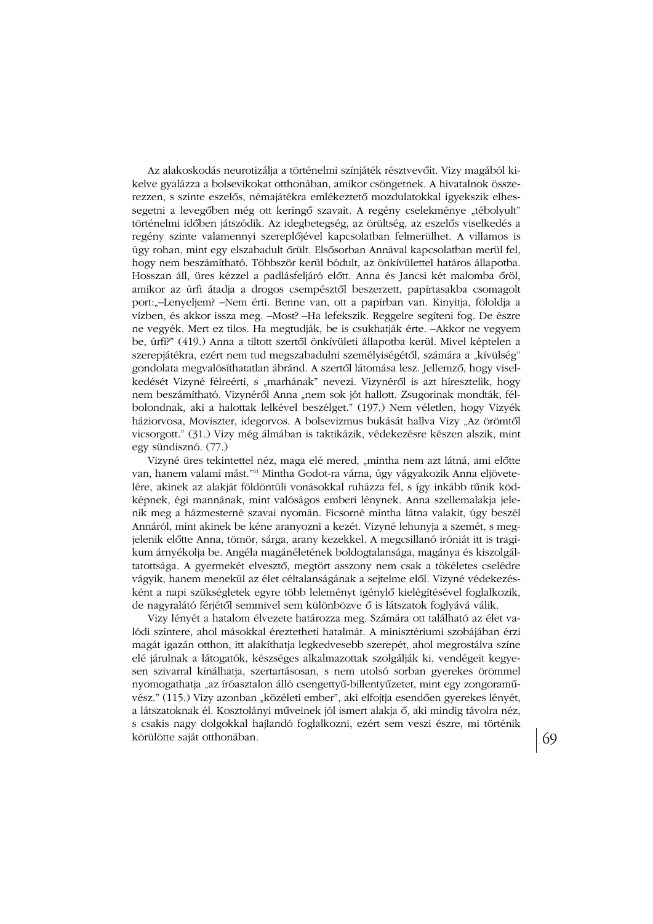Az alakoskodás neurotizálja a történelmi színjáték résztvevőit. Vizy magából kikelve gyalázza a bolsevikokat otthonában, amikor csöngetnek. A hivatalnok összerezzen, s szinte eszelős, némajátékra emlékeztető mozdulatokkal igyekszik elhessegetni a levegőben még ott keringő szavait. A regény cselekménye "tébolyult" történelmi időben játszódik. Az idegbetegség, az örültség, az eszelős viselkedés a regény szinte valamennyi szereplőjével kapcsolatban felmerülhet. A villamos is úgy rohan, mint egy elszabadult őrült. Elsősorban Annával kapcsolatban merül fel, hogy nem beszámítható. Többször kerül bódult, az önkívülettel határos állapotba. Hosszan áll, üres kézzel a padlásfeljáró előtt. Anna és Jancsi két malomba őröl, amikor az úrfi átadja a drogos csempésztől beszerzett, papírtasakba csomagolt port:"-Lenyeljem? -Nem érti. Benne van, ott a papírban van. Kinyitja, föloldja a vízben, és akkor issza meg. - Most? - Ha lefekszik. Reggelre segíteni fog. De észre ne vegyék. Mert ez tilos. Ha megtudják, be is csukhatják érte. -Akkor ne vegyem be, úrfi?" (419.) Anna a tiltott szertől önkívületi állapotba kerül. Mivel képtelen a szerepjátékra, ezért nem tud megszabadulni személyiségétől, számára a "kívülség" gondolata megvalósíthatatlan ábránd. A szertől látomása lesz. Jellemző, hogy viselkedését Vizyné félreérti, s "marhának" nevezi, Vizynéről is azt híresztelik, hogy nem beszámítható. Vizynéről Anna "nem sok jót hallott. Zsugorinak mondták, félbolondnak, aki a halottak lelkével beszélget." (197.) Nem véletlen, hogy Vizyék háziorvosa, Moviszter, idegorvos. A bolsevizmus bukását hallva Vizy "Az örömtől vicsorgott." (31.) Vizy még álmában is taktikázik, védekezésre készen alszik, mint egy sündisznó. (77.)

Vizyné üres tekintettel néz, maga elé mered, "mintha nem azt látná, ami előtte van, hanem valami mást."<sup>61</sup> Mintha Godot-ra várna, úgy vágyakozik Anna eljövetelére, akinek az alakját földöntúli vonásokkal ruházza fel, s így inkább tűnik ködképnek, égi mannának, mint valóságos emberi lénynek. Anna szellemalakja jelenik meg a házmesterné szavai nyomán. Ficsorné mintha látna valakit, úgy beszél Annáról, mint akinek be kéne aranyozni a kezét. Vizyné lehunyja a szemét, s megjelenik előtte Anna, tömör, sárga, arany kezekkel. A megcsillanó iróniát itt is tragikum árnyékolja be. Angéla magánéletének boldogtalansága, magánya és kiszolgáltatottsága. A gyermekét elvesztő, megtört asszony nem csak a tökéletes cselédre vágyik, hanem menekül az élet céltalanságának a sejtelme elől. Vizyné védekezésként a napi szükségletek egyre több leleményt igénylő kielégítésével foglalkozik, de nagyralátó férjétől semmivel sem különbözve ő is látszatok foglyává válik.

Vizy lényét a hatalom élvezete határozza meg. Számára ott található az élet valódi színtere, ahol másokkal éreztetheti hatalmát. A minisztériumi szobájában érzi magát igazán otthon, itt alakíthatja legkedvesebb szerepét, ahol megrostálva színe elé járulnak a látogatók, készséges alkalmazottak szolgálják ki, vendégeit kegyesen szivarral kínálhatja, szertartásosan, s nem utolsó sorban gyerekes örömmel nyomogathatja "az íróasztalon álló csengettyű-billentyűzetet, mint egy zongoraművész." (115.) Vizy azonban "közéleti ember", aki elfojtja esendően gyerekes lényét, a látszatoknak él. Kosztolányi műveinek jól ismert alakja ő, aki mindig távolra néz, s csakis nagy dolgokkal hajlandó foglalkozni, ezért sem veszi észre, mi történik körülötte saját otthonában.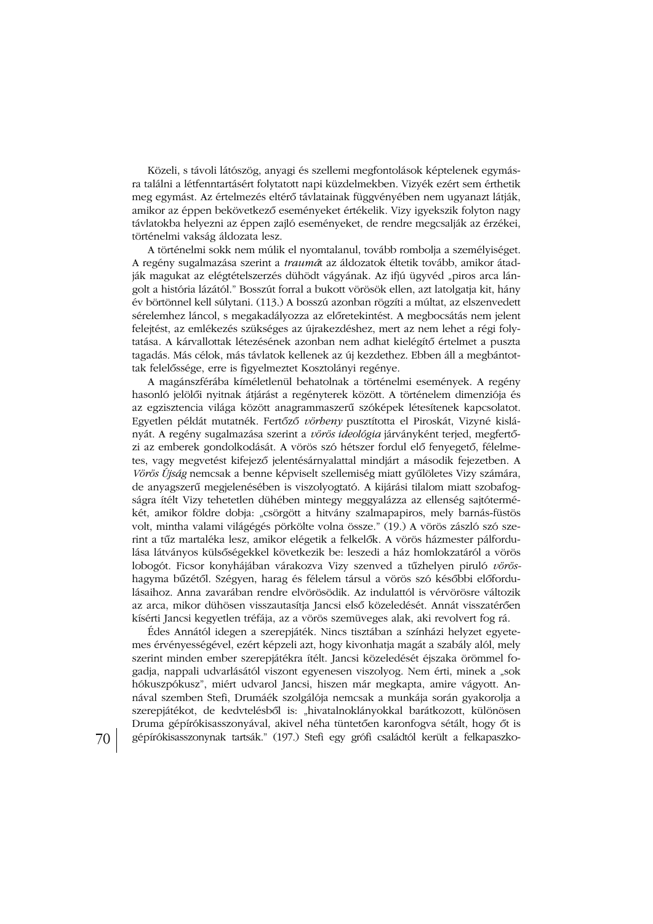Közeli, s távoli látószög, anyagi és szellemi megfontolások képtelenek egymásra találni a létfenntartásért folytatott napi küzdelmekben. Vizyék ezért sem érthetik meg egymást. Az értelmezés eltérő távlatainak függvényében nem ugyanazt látják, amikor az éppen bekövetkező eseményeket értékelik. Vizy igyekszik folyton nagy távlatokba helyezni az éppen zajló eseményeket, de rendre megcsalják az érzékei, történelmi vakság áldozata lesz.

A történelmi sokk nem múlik el nyomtalanul, tovább rombolja a személyiséget. A regény sugalmazása szerint a *traumá*t az áldozatok éltetik tovább, amikor átadják magukat az elégtételszerzés dühödt vágyának. Az ifjú ügyvéd "piros arca lángolt a história lázától." Bosszút forral a bukott vörösök ellen, azt latolgatja kit, hány év börtönnel kell súlytani. (113.) A bosszú azonban rögzíti a múltat, az elszenvedett sérelemhez láncol, s megakadályozza az előretekintést. A megbocsátás nem jelent felejtést, az emlékezés szükséges az újrakezdéshez, mert az nem lehet a régi folytatása. A kárvallottak létezésének azonban nem adhat kielégítő értelmet a puszta tagadás. Más célok, más távlatok kellenek az új kezdethez. Ebben áll a megbántottak felelőssége, erre is figyelmeztet Kosztolányi regénye.

A magánszférába kíméletlenül behatolnak a történelmi események. A regény hasonló jelölői nyitnak átjárást a regényterek között. A történelem dimenziója és az egzisztencia világa között anagrammaszerű szóképek létesítenek kapcsolatot. Egyetlen példát mutatnék. Fertőző vörbeny pusztította el Piroskát, Vizyné kislányát. A regény sugalmazása szerint a vörös ideológia járványként terjed, megfertőzi az emberek gondolkodását. A vörös szó hétszer fordul elő fenyegető, félelmetes, vagy megvetést kifejező jelentésárnyalattal mindjárt a második fejezetben. A Vörös Újság nemcsak a benne képviselt szellemiség miatt gyűlöletes Vizy számára, de anyagszerű megjelenésében is viszolyogtató. A kijárási tilalom miatt szobafogságra ítélt Vizy tehetetlen dühében mintegy meggyalázza az ellenség sajtótermékét, amikor földre dobja: "csörgött a hitvány szalmapapiros, mely barnás-füstös volt, mintha valami világégés pörkölte volna össze." (19.) A vörös zászló szó szerint a tűz martaléka lesz, amikor elégetik a felkelők. A vörös házmester pálfordulása látványos külsőségekkel következik be: leszedi a ház homlokzatáról a vörös lobogót. Ficsor konyhájában várakozva Vizy szenved a tűzhelyen piruló vöröshagyma bűzétől. Szégyen, harag és félelem társul a vörös szó későbbi előfordulásaihoz. Anna zavarában rendre elvörösödik. Az indulattól is vérvörösre változik az arca, mikor dühösen visszautasítja Jancsi első közeledését. Annát visszatérően kísérti Jancsi kegyetlen tréfája, az a vörös szemüveges alak, aki revolvert fog rá.

Édes Annától idegen a szerepjáték. Nincs tisztában a színházi helyzet egyetemes érvényességével, ezért képzeli azt, hogy kivonhatja magát a szabály alól, mely szerint minden ember szerepjátékra ítélt. Jancsi közeledését éjszaka örömmel fogadja, nappali udvarlásától viszont egyenesen viszolyog. Nem érti, minek a "sok hókuszpókusz", miért udvarol Jancsi, hiszen már megkapta, amire vágyott. Annával szemben Stefi, Drumáék szolgálója nemcsak a munkája során gyakorolja a szerepjátékot, de kedvtelésből is: "hivatalnoklányokkal barátkozott, különösen Druma gépírókisasszonyával, akivel néha tüntetően karonfogya sétált, hogy őt is gépírókisasszonynak tartsák." (197.) Stefi egy grófi családtól került a felkapaszko-